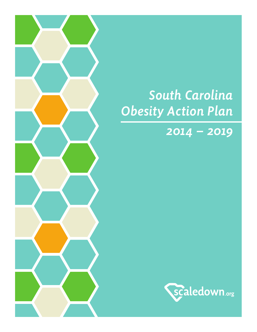## *South Carolina Obesity Action Plan*

### *2014 – 2019*

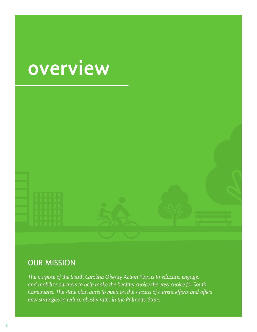## overview



### OUR MISSION

*The purpose of the South Carolina Obesity Action Plan is to educate, engage, and mobilize partners to help make the healthy choice the easy choice for South Carolinians. The state plan aims to build on the success of current efforts and offers new strategies to reduce obesity rates in the Palmetto State.*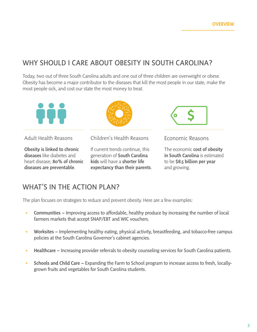### WHY SHOULD I CARE ABOUT OBESITY IN SOUTH CAROLINA?

Today, two out of three South Carolina adults and one out of three children are overweight or obese. Obesity has become a major contributor to the diseases that kill the most people in our state, make the most people sick, and cost our state the most money to treat.



Obesity is linked to chronic diseases like diabetes and heart disease; 80% of chronic diseases are preventable.

Adult Health Reasons Children's Health Reasons Economic Reasons

If current trends continue, this generation of South Carolina kids will have a shorter life expectancy than their parents.



The economic **cost of obesity** in South Carolina is estimated to be \$8.5 billion per year and growing.

### WHAT'S IN THE ACTION PLAN?

The plan focuses on strategies to reduce and prevent obesity. Here are a few examples:

- Communities Improving access to affordable, healthy produce by increasing the number of local  $\bullet$ farmers markets that accept SNAP/EBT and WIC vouchers.
- Worksites Implementing healthy eating, physical activity, breastfeeding, and tobacco-free campus  $\bullet$ policies at the South Carolina Governor's cabinet agencies.
- Healthcare Increasing provider referrals to obesity counseling services for South Carolina patients.  $\bullet$
- Schools and Child Care Expanding the Farm to School program to increase access to fresh, locally- $\bullet$ grown fruits and vegetables for South Carolina students.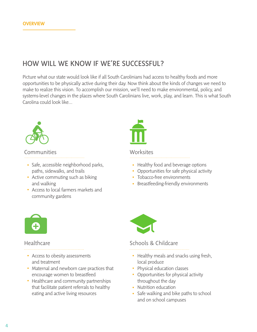### HOW WILL WE KNOW IF WE'RE SUCCESSFUL?

Picture what our state would look like if all South Carolinians had access to healthy foods and more opportunities to be physically active during their day. Now think about the kinds of changes we need to make to realize this vision. To accomplish our mission, we'll need to make environmental, policy, and systems-level changes in the places where South Carolinians live, work, play, and learn. This is what South Carolina could look like…



### Communities

- Safe, accessible neighborhood parks, paths, sidewalks, and trails
- Active commuting such as biking and walking
- Access to local farmers markets and community gardens



### Worksites

- Healthy food and beverage options
- Opportunities for safe physical activity
- Tobacco-free environments
- Breastfeeding-friendly environments



### Healthcare

- Access to obesity assessments and treatment
- Maternal and newborn care practices that encourage women to breastfeed
- Healthcare and community partnerships that facilitate patient referrals to healthy eating and active living resources



### Schools & Childcare

- Healthy meals and snacks using fresh, local produce
- Physical education classes
- Opportunities for physical activity throughout the day
- Nutrition education
- Safe walking and bike paths to school and on school campuses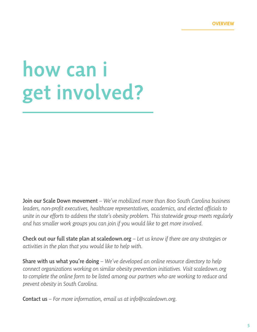# how can i get involved?

Join our Scale Down movement *– We've mobilized more than 800 South Carolina business leaders, non-profit executives, healthcare representatives, academics, and elected officials to unite in our efforts to address the state's obesity problem. This statewide group meets regularly and has smaller work groups you can join if you would like to get more involved.*

Check out our full state plan at scaledown.org *– Let us know if there are any strategies or activities in the plan that you would like to help with.*

Share with us what you're doing *– We've developed an online resource directory to help connect organizations working on similar obesity prevention initiatives. Visit scaledown.org to complete the online form to be listed among our partners who are working to reduce and prevent obesity in South Carolina.*

Contact us *– For more information, email us at info@scaledown.org.*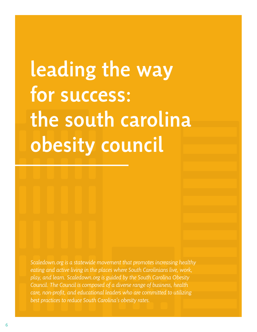# leading the way for success: the south carolina obesity council

*Scaledown.org is a statewide movement that promotes increasing healthy eating and active living in the places where South Carolinians live, work, play, and learn. Scaledown.org is guided by the South Carolina Obesity Council. The Council is composed of a diverse range of business, health care, non-profit, and educational leaders who are committed to utilizing best practices to reduce South Carolina's obesity rates.*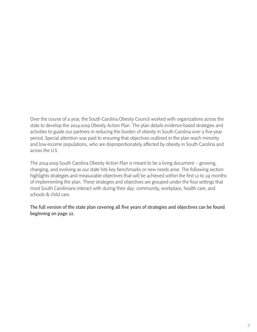Over the course of a year, the South Carolina Obesity Council worked with organizations across the state to develop the 2014-2019 Obesity Action Plan. The plan details evidence-based strategies and activities to guide our partners in reducing the burden of obesity in South Carolina over a five-year period. Special attention was paid to ensuring that objectives outlined in the plan reach minority and low-income populations, who are disproportionately affected by obesity in South Carolina and across the U.S.

The 2014-2019 South Carolina Obesity Action Plan is meant to be a living document – growing, changing, and evolving as our state hits key benchmarks or new needs arise. The following section highlights strategies and measurable objectives that will be achieved within the first 12 to 24 months of implementing the plan. These strategies and objectives are grouped under the four settings that most South Carolinians interact with during their day: community, workplace, health care, and schools & child care.

The full version of the state plan covering all five years of strategies and objectives can be found beginning on page 22.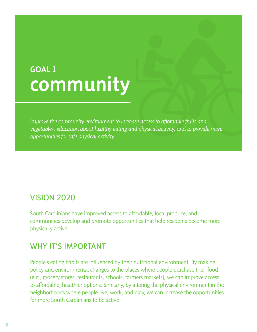## GOAL 1 community

*Improve the community environment to increase access to affordable fruits and vegetables, education about healthy eating and physical activity, and to provide more opportunities for safe physical activity.*

### VISION 2020

South Carolinians have improved access to affordable, local produce, and communities develop and promote opportunities that help residents become more physically active.

### WHY IT'S IMPORTANT

People's eating habits are influenced by their nutritional environment. By making policy and environmental changes to the places where people purchase their food (e.g., grocery stores, restaurants, schools, farmers markets), we can improve access to affordable, healthier options. Similarly, by altering the physical environment in the neighborhoods where people live, work, and play, we can increase the opportunities for more South Carolinians to be active.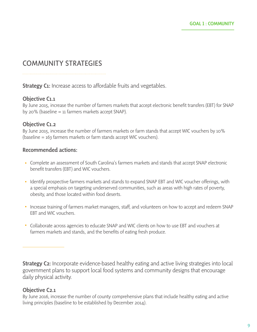### COMMUNITY STRATEGIES

**Strategy C1:** Increase access to affordable fruits and vegetables.

### Objective C1.1

By June 2015, increase the number of farmers markets that accept electronic benefit transfers (EBT) for SNAP by 20% (baseline = 11 farmers markets accept SNAP).

### Objective C1.2

By June 2015, increase the number of farmers markets or farm stands that accept WIC vouchers by 10% (baseline = 163 farmers markets or farm stands accept WIC vouchers).

### Recommended actions:

- Complete an assessment of South Carolina's farmers markets and stands that accept SNAP electronic benefit transfers (EBT) and WIC vouchers.
- Identify prospective farmers markets and stands to expand SNAP EBT and WIC voucher offerings, with a special emphasis on targeting underserved communities, such as areas with high rates of poverty, obesity, and those located within food deserts.
- Increase training of farmers market managers, staff, and volunteers on how to accept and redeem SNAP EBT and WIC vouchers.
- Collaborate across agencies to educate SNAP and WIC clients on how to use EBT and vouchers at farmers markets and stands, and the benefits of eating fresh produce.

**Strategy C2:** Incorporate evidence-based healthy eating and active living strategies into local government plans to support local food systems and community designs that encourage daily physical activity.

### Objective C2.1

By June 2016, increase the number of county comprehensive plans that include healthy eating and active living principles (baseline to be established by December 2014).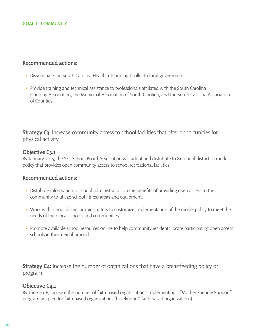### Recommended actions:

- Disseminate the South Carolina Health + Planning Toolkit to local governments.
- Provide training and technical assistance to professionals affiliated with the South Carolina Planning Association, the Municipal Association of South Carolina, and the South Carolina Association of Counties.

**Strategy C3:** Increase community access to school facilities that offer opportunities for physical activity.

### Objective C3.1

By January 2015, the S.C. School Board Association will adopt and distribute to 81 school districts a model policy that provides open community access to school recreational facilities.

### Recommended actions:

- Distribute information to school administrators on the benefits of providing open access to the community to utilize school fitness areas and equipment.
- Work with school district administrators to customize implementation of the model policy to meet the needs of their local schools and communities.
- Promote available school resources online to help community residents locate participating open access schools in their neighborhood.

**Strategy C4:** Increase the number of organizations that have a breastfeeding policy or program.

### Objective C<sub>4.1</sub>

By June 2016, increase the number of faith-based organizations implementing a "Mother Friendly Support" program adapted for faith-based organizations (baseline = 0 faith-based organizations).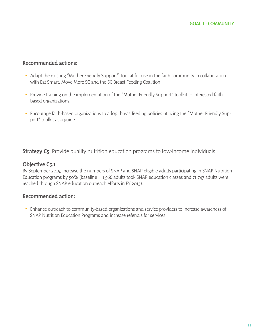### Recommended actions:

- Adapt the existing "Mother Friendly Support" Toolkit for use in the faith community in collaboration with Eat Smart, Move More SC and the SC Breast Feeding Coalition.
- Provide training on the implementation of the "Mother Friendly Support" toolkit to interested faithbased organizations.
- Encourage faith-based organizations to adopt breastfeeding policies utilizing the "Mother Friendly Support" toolkit as a guide.

**Strategy C5:** Provide quality nutrition education programs to low-income individuals.

### Objective C5.1

By September 2015, increase the numbers of SNAP and SNAP-eligible adults participating in SNAP Nutrition Education programs by 50% (baseline = 1,566 adults took SNAP education classes and 71,743 adults were reached through SNAP education outreach efforts in FY 2013).

### Recommended action:

Enhance outreach to community-based organizations and service providers to increase awareness of SNAP Nutrition Education Programs and increase referrals for services.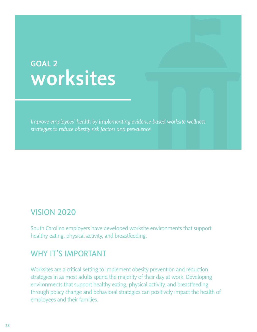## GOAL 2 worksites

*Improve employees' health by implementing evidence-based worksite wellness strategies to reduce obesity risk factors and prevalence.*

### VISION 2020

South Carolina employers have developed worksite environments that support healthy eating, physical activity, and breastfeeding.

### WHY IT'S IMPORTANT

Worksites are a critical setting to implement obesity prevention and reduction strategies in as most adults spend the majority of their day at work. Developing environments that support healthy eating, physical activity, and breastfeeding through policy change and behavioral strategies can positively impact the health of employees and their families.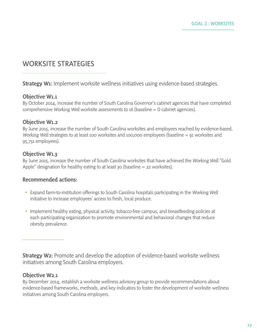### WORKSITE STRATEGIES

**Strategy W1:** Implement worksite wellness initiatives using evidence-based strategies.

### Objective W1.1

By October 2014, increase the number of South Carolina Governor's cabinet agencies that have completed comprehensive *Working Well* worksite assessments to 16 (baseline = 0 cabinet agencies).

### Objective W1.2

By June 2015, increase the number of South Carolina worksites and employees reached by evidence-based, *Working Well* strategies to at least 100 worksites and 100,000 employees (baseline = 91 worksites and 95,751 employees).

### Objective W1.3

By June 2015, increase the number of South Carolina worksites that have achieved the *Working Well* "Gold Apple" designation for healthy eating to at least 30 (baseline  $=$  22 worksites).

### Recommended actions:

- Expand farm-to-institution offerings to South Carolina hospitals participating in the *Working Well* initiative to increase employees' access to fresh, local produce.
- Implement healthy eating, physical activity, tobacco-free campus, and breastfeeding policies at each participating organization to promote environmental and behavioral changes that reduce obesity prevalence.

**Strategy W2:** Promote and develop the adoption of evidence-based worksite wellness initiatives among South Carolina employers.

### Objective W2.1

By December 2014, establish a worksite wellness advisory group to provide recommendations about evidence-based frameworks, methods, and key indicators to foster the development of worksite wellness initiatives among South Carolina employers.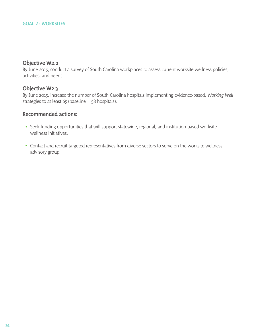### Objective W2.2

By June 2015, conduct a survey of South Carolina workplaces to assess current worksite wellness policies, activities, and needs.

### Objective W2.3

By June 2015, increase the number of South Carolina hospitals implementing evidence-based, *Working Well* strategies to at least  $65$  (baseline =  $58$  hospitals).

### Recommended actions:

- Seek funding opportunities that will support statewide, regional, and institution-based worksite wellness initiatives.
- Contact and recruit targeted representatives from diverse sectors to serve on the worksite wellness advisory group.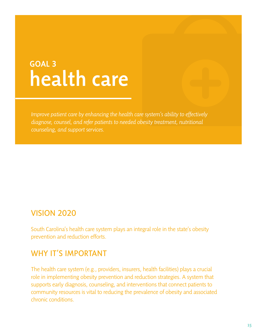## GOAL 3 health care

*Improve patient care by enhancing the health care system's ability to effectively diagnose, counsel, and refer patients to needed obesity treatment, nutritional counseling, and support services.*

### VISION 2020

South Carolina's health care system plays an integral role in the state's obesity prevention and reduction efforts.

### WHY IT'S IMPORTANT

The health care system (e.g., providers, insurers, health facilities) plays a crucial role in implementing obesity prevention and reduction strategies. A system that supports early diagnosis, counseling, and interventions that connect patients to community resources is vital to reducing the prevalence of obesity and associated chronic conditions.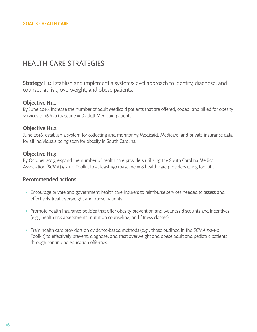### HEALTH CARE STRATEGIES

**Strategy H1:** Establish and implement a systems-level approach to identify, diagnose, and counsel at-risk, overweight, and obese patients.

### Objective H1.1

By June 2016, increase the number of adult Medicaid patients that are offered, coded, and billed for obesity services to  $16,620$  (baseline = 0 adult Medicaid patients).

### Objective H1.2

June 2016, establish a system for collecting and monitoring Medicaid, Medicare, and private insurance data for all individuals being seen for obesity in South Carolina.

### Objective H1.3

By October 2015, expand the number of health care providers utilizing the South Carolina Medical Association (SCMA) 5-2-1-0 Toolkit to at least 150 (baseline = 8 health care providers using toolkit).

### Recommended actions:

- Encourage private and government health care insurers to reimburse services needed to assess and effectively treat overweight and obese patients.
- Promote health insurance policies that offer obesity prevention and wellness discounts and incentives (e.g., health risk assessments, nutrition counseling, and fitness classes).
- Train health care providers on evidence-based methods (e.g., those outlined in the *SCMA 5-2-1-0* Toolkit) to effectively prevent, diagnose, and treat overweight and obese adult and pediatric patients through continuing education offerings.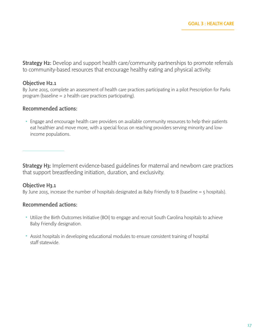**Strategy H2:** Develop and support health care/community partnerships to promote referrals to community-based resources that encourage healthy eating and physical activity.

### Objective H2.1

By June 2015, complete an assessment of health care practices participating in a pilot Prescription for Parks program (baseline  $=$  2 health care practices participating).

### Recommended actions:

Engage and encourage health care providers on available community resources to help their patients eat healthier and move more, with a special focus on reaching providers serving minority and lowincome populations.

**Strategy H3:** Implement evidence-based guidelines for maternal and newborn care practices that support breastfeeding initiation, duration, and exclusivity.

### Objective H3.1

By June 2015, increase the number of hospitals designated as Baby Friendly to 8 (baseline  $=$  5 hospitals).

### Recommended actions:

- Utilize the Birth Outcomes Initiative (BOI) to engage and recruit South Carolina hospitals to achieve Baby Friendly designation.
- Assist hospitals in developing educational modules to ensure consistent training of hospital staff statewide.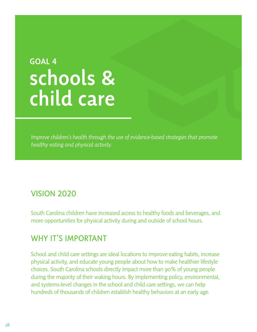## GOAL 4 schools & child care

*Improve children's health through the use of evidence-based strategies that promote healthy eating and physical activity.*

### VISION 2020

South Carolina children have increased access to healthy foods and beverages, and more opportunities for physical activity during and outside of school hours.

### WHY IT'S IMPORTANT

School and child care settings are ideal locations to improve eating habits, increase physical activity, and educate young people about how to make healthier lifestyle choices. South Carolina schools directly impact more than 90% of young people during the majority of their waking hours. By implementing policy, environmental, and systems-level changes in the school and child care settings, we can help hundreds of thousands of children establish healthy behaviors at an early age.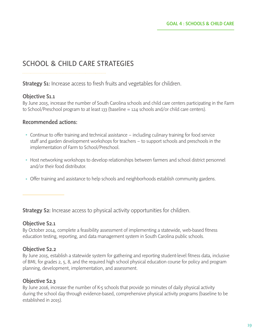### SCHOOL & CHILD CARE STRATEGIES

Strategy S1: Increase access to fresh fruits and vegetables for children.

### Objective S1.1

By June 2015, increase the number of South Carolina schools and child care centers participating in the Farm to School/Preschool program to at least 133 (baseline = 124 schools and/or child care centers).

### Recommended actions:

- Continue to offer training and technical assistance including culinary training for food service staff and garden development workshops for teachers – to support schools and preschools in the implementation of Farm to School/Preschool.
- Host networking workshops to develop relationships between farmers and school district personnel and/or their food distributor.
- Offer training and assistance to help schools and neighborhoods establish community gardens.

**Strategy S2:** Increase access to physical activity opportunities for children.

### Objective S2.1

By October 2014, complete a feasibility assessment of implementing a statewide, web-based fitness education testing, reporting, and data management system in South Carolina public schools.

### Objective S2.2

By June 2015, establish a statewide system for gathering and reporting student-level fitness data, inclusive of BMI, for grades 2, 5, 8, and the required high school physical education course for policy and program planning, development, implementation, and assessment.

### Objective S2.3

By June 2016, increase the number of K-5 schools that provide 30 minutes of daily physical activity during the school day through evidence-based, comprehensive physical activity programs (baseline to be established in 2015).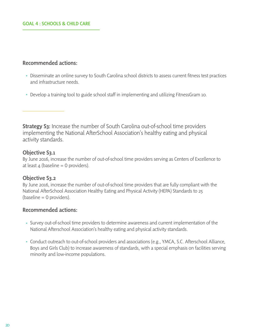### Recommended actions:

- Disseminate an online survey to South Carolina school districts to assess current fitness test practices and infrastructure needs.
- Develop a training tool to guide school staff in implementing and utilizing FitnessGram 10.

**Strategy S3:** Increase the number of South Carolina out-of-school time providers implementing the National AfterSchool Association's healthy eating and physical activity standards.

### Objective S3.1

By June 2016, increase the number of out-of-school time providers serving as Centers of Excellence to at least  $4$  (baseline = 0 providers).

### Objective S3.2

By June 2016, increase the number of out-of-school time providers that are fully compliant with the National AfterSchool Association Healthy Eating and Physical Activity (HEPA) Standards to 25  $(baseline = 0$  providers).

### Recommended actions:

- Survey out-of-school time providers to determine awareness and current implementation of the National Afterschool Association's healthy eating and physical activity standards.
- Conduct outreach to out-of-school providers and associations (e.g., YMCA, S.C. Afterschool Alliance, Boys and Girls Club) to increase awareness of standards, with a special emphasis on facilities serving minority and low-income populations.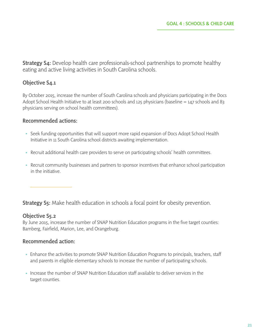**Strategy S4:** Develop health care professionals-school partnerships to promote healthy eating and active living activities in South Carolina schools.

### Objective S4.1

By October 2015, increase the number of South Carolina schools and physicians participating in the Docs Adopt School Health Initiative to at least 200 schools and 125 physicians (baseline = 147 schools and 83 physicians serving on school health committees).

### Recommended actions:

- Seek funding opportunities that will support more rapid expansion of Docs Adopt School Health Initiative in 11 South Carolina school districts awaiting implementation.
- Recruit additional health care providers to serve on participating schools' health committees.
- Recruit community businesses and partners to sponsor incentives that enhance school participation in the initiative.

**Strategy S5:** Make health education in schools a focal point for obesity prevention.

### Objective S5.2

By June 2015, increase the number of SNAP Nutrition Education programs in the five target counties: Bamberg, Fairfield, Marion, Lee, and Orangeburg.

### Recommended action:

- Enhance the activities to promote SNAP Nutrition Education Programs to principals, teachers, staff and parents in eligible elementary schools to increase the number of participating schools.
- Increase the number of SNAP Nutrition Education staff available to deliver services in the target counties.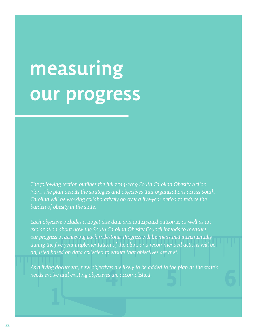# measuring our progress

*The following section outlines the full 2014-2019 South Carolina Obesity Action Plan. The plan details the strategies and objectives that organizations across South Carolina will be working collaboratively on over a five-year period to reduce the burden of obesity in the state.* 

*Each objective includes a target due date and anticipated outcome, as well as an explanation about how the South Carolina Obesity Council intends to measure our progress in achieving each milestone. Progress will be measured incrementally during the five-year implementation of the plan, and recommended actions will be adjusted based on data collected to ensure that objectives are met.* 

*As a living document, new objectives are likely to be added to the plan as the state's needs evolve and existing objectives are accomplished.*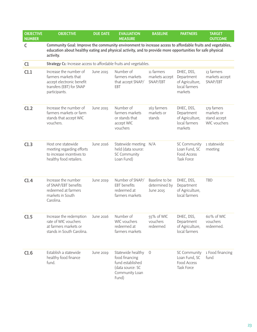| <b>OBJECTIVE</b><br><b>NUMBER</b> | <b>OBJECTIVE</b>                                                                                                                                                                                                                    | <b>DUE DATE</b>  | <b>EVALUATION</b><br><b>MEASURE</b>                                                                    | <b>BASELINE</b>                              | <b>PARTNERS</b>                                                         | <b>TARGET</b><br><b>OUTCOME</b>                          |
|-----------------------------------|-------------------------------------------------------------------------------------------------------------------------------------------------------------------------------------------------------------------------------------|------------------|--------------------------------------------------------------------------------------------------------|----------------------------------------------|-------------------------------------------------------------------------|----------------------------------------------------------|
| $\mathsf C$                       | Community Goal: Improve the community environment to increase access to affordable fruits and vegetables,<br>education about healthy eating and physical activity, and to provide more opportunities for safe physical<br>activity. |                  |                                                                                                        |                                              |                                                                         |                                                          |
| C1                                | Strategy C1: Increase access to affordable fruits and vegetables.                                                                                                                                                                   |                  |                                                                                                        |                                              |                                                                         |                                                          |
| C1.1                              | Increase the number of<br>farmers markets that<br>accept electronic benefit<br>transfers (EBT) for SNAP<br>participants.                                                                                                            | June 2015        | Number of<br>farmers markets<br>that accept SNAP/<br>EBT                                               | 11 farmers<br>markets accept<br>SNAP/EBT     | DHEC, DSS,<br>Department<br>of Agriculture,<br>local farmers<br>markets | 13 farmers<br>markets accept<br>SNAP/EBT                 |
| C1.2                              | Increase the number of<br>farmers markets or farm<br>stands that accept WIC<br>vouchers.                                                                                                                                            | June 2015        | Number of<br>farmers markets<br>or stands that<br>accept WIC<br>vouchers                               | 163 farmers<br>markets or<br>stands          | DHEC, DSS,<br>Department<br>of Agriculture,<br>local farmers<br>markets | 179 famers<br>markets or<br>stand accept<br>WIC vouchers |
| C1.3                              | Host one statewide<br>meeting regarding efforts<br>to increase incentives to<br>healthy food retailers.                                                                                                                             | June 2016        | Statewide meeting N/A<br>held (data source:<br>SC Community<br>Loan Fund)                              |                                              | SC Community<br>Loan Fund, SC<br>Food Access<br><b>Task Force</b>       | 1 statewide<br>meeting                                   |
| C1.4                              | Increase the number<br>of SNAP/EBT benefits<br>redeemed at farmers<br>markets in South<br>Carolina.                                                                                                                                 | <b>June 2019</b> | Number of SNAP/<br><b>EBT</b> benefits<br>redeemed at<br>farmers markets                               | Baseline to be<br>determined by<br>June 2015 | DHEC, DSS,<br>Department<br>of Agriculture,<br>local farmers            | <b>TBD</b>                                               |
| C1.5                              | Increase the redemption<br>rate of WIC vouchers<br>at farmers markets or<br>stands in South Carolina.                                                                                                                               | June 2016        | Number of<br>WIC vouchers<br>redeemed at<br>farmers markets                                            | 55% of WIC<br>vouchers<br>redeemed           | DHEC, DSS,<br>Department<br>of Agriculture,<br>local farmers            | 60% of WIC<br>vouchers<br>redeemed.                      |
| C1.6                              | Establish a statewide<br>healthy food finance<br>fund.                                                                                                                                                                              | <b>June 2019</b> | Statewide healthy<br>food financing<br>fund established<br>(data source: SC<br>Community Loan<br>Fund) | 0                                            | SC Community<br>Loan Fund, SC<br>Food Access<br>Task Force              | 1 Food financing<br>fund                                 |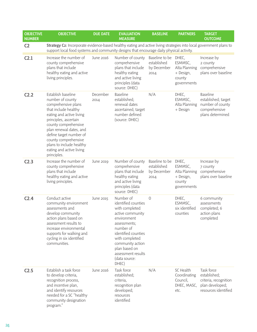| <b>OBJECTIVE</b><br><b>NUMBER</b> | <b>OBJECTIVE</b>                                                                                                                                                                                                                                                                                                        | <b>DUE DATE</b>  | <b>EVALUATION</b><br><b>MEASURE</b>                                                                                                                                                                                                              | <b>BASELINE</b>                                            | <b>PARTNERS</b>                                                | <b>TARGET</b><br><b>OUTCOME</b>                                                                 |
|-----------------------------------|-------------------------------------------------------------------------------------------------------------------------------------------------------------------------------------------------------------------------------------------------------------------------------------------------------------------------|------------------|--------------------------------------------------------------------------------------------------------------------------------------------------------------------------------------------------------------------------------------------------|------------------------------------------------------------|----------------------------------------------------------------|-------------------------------------------------------------------------------------------------|
| C <sub>2</sub>                    | Strategy C2: Incorporate evidence-based healthy eating and active living strategies into local government plans to<br>support local food systems and community designs that encourage daily physical activity.                                                                                                          |                  |                                                                                                                                                                                                                                                  |                                                            |                                                                |                                                                                                 |
| C <sub>2.1</sub>                  | Increase the number of<br>county comprehensive<br>plans that include<br>healthy eating and active<br>living principles.                                                                                                                                                                                                 | June 2016        | Number of county<br>comprehensive<br>plans that include<br>healthy eating<br>and active living<br>principles (data<br>source: DHEC)                                                                                                              | Baseline to be DHEC,<br>established<br>by December<br>2014 | ESMMSC,<br>Alta Planning<br>+ Design,<br>county<br>governments | Increase by<br>2 county<br>comprehensive<br>plans over baseline                                 |
| C <sub>2.2</sub>                  | Establish baseline<br>number of county<br>comprehensive plans<br>that include healthy<br>eating and active living<br>principles, ascertain<br>county comprehensive<br>plan renewal dates, and<br>define target number of<br>county comprehensive<br>plans to include healthy<br>eating and active living<br>principles. | December<br>2014 | <b>Baseline</b><br>established;<br>renewal dates<br>ascertained; target<br>number defined<br>(source: DHEC)                                                                                                                                      | N/A                                                        | DHEC,<br>ESMMSC,<br>Alta Planning<br>+ Design                  | <b>Baseline</b><br>established; target<br>number of county<br>comprehensive<br>plans determined |
| C <sub>2.3</sub>                  | Increase the number of<br>county comprehensive<br>plans that include<br>healthy eating and active<br>living principles.                                                                                                                                                                                                 | June 2019        | Number of county<br>comprehensive<br>plans that include<br>healthy eating<br>and active living<br>principles (data<br>source: DHEC)                                                                                                              | Baseline to be DHEC,<br>established<br>by December<br>2014 | ESMMSC,<br>Alta Planning<br>+ Design,<br>county<br>governments | Increase by<br>7 county<br>comprehensive<br>plans over baseline                                 |
| C <sub>2.4</sub>                  | Conduct active<br>community environment<br>assessments and<br>develop community<br>action plans based on<br>assessment results to<br>increase environmental<br>supports for walking and<br>cycling in six identified<br>communities.                                                                                    | June 2015        | Number of<br>identified counties<br>with completed<br>active community<br>environment<br>assessments;<br>number of<br>identified counties<br>with completed<br>community action<br>plan based on<br>assessment results<br>(data source:<br>DHEC) | $\Omega$                                                   | DHEC,<br>ESMMSC,<br>six identified<br>counties                 | 6 community<br>assessments<br>completed; 6<br>action plans<br>completed                         |
| C <sub>2.5</sub>                  | Establish a task force<br>to develop criteria,<br>recognition process,<br>and incentive plan,<br>and identify resources<br>needed for a SC "healthy<br>community designation<br>program."                                                                                                                               | June 2016        | Task force<br>established;<br>criteria,<br>recognition plan<br>developed;<br>resources<br>identified                                                                                                                                             | N/A                                                        | SC Health<br>Coordinating<br>Council,<br>DHEC, MASC,<br>etc.   | Task force<br>established;<br>criteria, recognition<br>plan developed;<br>resources identified  |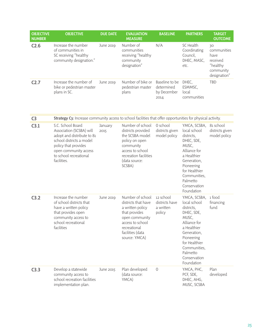| <b>OBJECTIVE</b><br><b>NUMBER</b> | <b>OBJECTIVE</b>                                                                                                                                                                                  | <b>DUE DATE</b>  | <b>EVALUATION</b><br><b>MEASURE</b>                                                                                                                                     | <b>BASELINE</b>                                     | <b>PARTNERS</b>                                                                                                                                                                                          | <b>TARGET</b><br><b>OUTCOME</b>                                                |
|-----------------------------------|---------------------------------------------------------------------------------------------------------------------------------------------------------------------------------------------------|------------------|-------------------------------------------------------------------------------------------------------------------------------------------------------------------------|-----------------------------------------------------|----------------------------------------------------------------------------------------------------------------------------------------------------------------------------------------------------------|--------------------------------------------------------------------------------|
| C <sub>2.6</sub>                  | Increase the number<br>of communities in<br>SC receiving "healthy<br>community designation."                                                                                                      | <b>June 2019</b> | Number of<br>communities<br>receiving "healthy<br>community<br>designation"                                                                                             | N/A                                                 | SC Health<br>Coordinating<br>Council,<br>DHEC, MASC,<br>etc.                                                                                                                                             | 30<br>communities<br>have<br>received<br>"healthy<br>community<br>designation" |
| C <sub>2.7</sub>                  | Increase the number of<br>bike or pedestrian master<br>plans in SC.                                                                                                                               | <b>June 2019</b> | Number of bike or<br>pedestrian master<br>plans                                                                                                                         | Baseline to be<br>determined<br>by December<br>2014 | DHEC,<br>ESMMSC,<br>local<br>communities                                                                                                                                                                 | TBD                                                                            |
| C <sub>3</sub>                    | Strategy C3: Increase community access to school facilities that offer opportunities for physical activity.                                                                                       |                  |                                                                                                                                                                         |                                                     |                                                                                                                                                                                                          |                                                                                |
| C3.1                              | S.C. School Board<br>Association (SCSBA) will<br>adopt and distribute to 81<br>school districts a model<br>policy that provides<br>open community access<br>to school recreational<br>facilities. | January<br>2015  | Number of school<br>districts provided<br>the SCSBA model<br>policy on open<br>community<br>access to school<br>recreation facilities<br>(data source:<br>SCSBA)        | 0 school<br>districts given<br>model policy         | YMCA, SCSBA,<br>local school<br>districts,<br>DHEC, SDE,<br>MUSC,<br>Alliance for<br>a Healthier<br>Generation,<br>Pioneering<br>for Healthier<br>Communities,<br>Palmetto<br>Conservation<br>Foundation | 81 school<br>districts given<br>model policy                                   |
| C3.2                              | Increase the number<br>of school districts that<br>have a written policy<br>that provides open<br>community access to<br>school recreational<br>facilities                                        | <b>June 2019</b> | Number of school<br>districts that have<br>a written policy<br>that provides<br>open community<br>access to school<br>recreational<br>facilities (data<br>source: YMCA) | 12 school<br>districts have<br>a written<br>policy  | YMCA, SCSBA,<br>local school<br>districts,<br>DHEC, SDE,<br>MUSC,<br>Alliance for<br>a Healthier<br>Generation,<br>Pioneering<br>for Healthier<br>Communities,<br>Palmetto<br>Conservation<br>Foundation | 1 food<br>financing<br>fund                                                    |
| C3.3                              | Develop a statewide<br>community access to<br>school recreation facilities<br>implementation plan.                                                                                                | June 2015        | Plan developed<br>(data source:<br>YMCA)                                                                                                                                | $\circ$                                             | YMCA, PHC,<br>PCF, SDE,<br>DHEC, AHG,<br>MUSC, SCSBA                                                                                                                                                     | Plan<br>developed                                                              |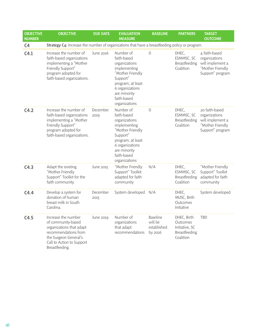| <b>OBJECTIVE</b><br><b>NUMBER</b> | <b>OBJECTIVE</b>                                                                                                                                                      | <b>DUE DATE</b>  | <b>EVALUATION</b><br><b>MEASURE</b>                                                                                                                                               | <b>BASELINE</b>                               | <b>PARTNERS</b>                                                         | <b>TARGET</b><br><b>OUTCOME</b>                                                             |
|-----------------------------------|-----------------------------------------------------------------------------------------------------------------------------------------------------------------------|------------------|-----------------------------------------------------------------------------------------------------------------------------------------------------------------------------------|-----------------------------------------------|-------------------------------------------------------------------------|---------------------------------------------------------------------------------------------|
| C <sub>4</sub>                    | Strategy C4: Increase the number of organizations that have a breastfeeding policy or program.                                                                        |                  |                                                                                                                                                                                   |                                               |                                                                         |                                                                                             |
| C4.1                              | Increase the number of<br>faith-based organizations<br>implementing a "Mother<br>Friendly Support"<br>program adopted for<br>faith-based organizations.               | June 2016        | Number of<br>faith-based<br>organizations<br>implementing<br>"Mother Friendly<br>Support"<br>program; at least<br>6 organizations<br>are minority<br>faith-based<br>organizations | $\circ$                                       | DHEC,<br>ESMMSC, SC<br>Breastfeeding<br>Coalition                       | 4 faith-based<br>organizations<br>will implement a<br>"Mother Friendly<br>Support" program  |
| C4.2                              | Increase the number of<br>faith-based organizations<br>implementing a "Mother<br>Friendly Support"<br>program adopted for<br>faith-based organizations.               | December<br>2019 | Number of<br>faith-based<br>organizations<br>implementing<br>"Mother Friendly<br>Support"<br>program; at least<br>6 organizations<br>are minority<br>faith-based<br>organizations | $\mathcal{O}$                                 | DHEC,<br>ESMMSC, SC<br>Breastfeeding<br>Coalition                       | 20 faith-based<br>organizations<br>will implement a<br>"Mother Friendly<br>Support" program |
| C4.3                              | Adapt the existing<br>"Mother Friendly<br>Support" Toolkit for the<br>faith community.                                                                                | June 2015        | "Mother Friendly<br>Support" Toolkit<br>adapted for faith<br>community                                                                                                            | N/A                                           | DHEC,<br>ESMMSC, SC<br>Breastfeeding<br>Coalition                       | "Mother Friendly<br>Support" Toolkit<br>adapted for faith<br>community                      |
| C4.4                              | Develop a system for<br>donation of human<br>breast milk in South<br>Carolina.                                                                                        | December<br>2015 | System developed N/A                                                                                                                                                              |                                               | DHEC,<br>MUSC, Birth<br>Outcomes<br>Initiative                          | System developed                                                                            |
| C4.5                              | Increase the number<br>of community-based<br>organizations that adapt<br>recommendations from<br>the Surgeon General's<br>Call to Action to Support<br>Breastfeeding. | <b>June 2019</b> | Number of<br>organizations<br>that adapt<br>recommendations                                                                                                                       | Baseline<br>will be<br>established<br>by 2016 | DHEC, Birth<br>Outcomes<br>Initiative, SC<br>Breastfeeding<br>Coalition | <b>TBD</b>                                                                                  |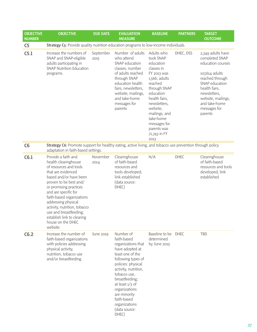| <b>OBJECTIVE</b><br><b>NUMBER</b> | <b>OBJECTIVE</b>                                                                                                                                                                                                                                                                                                                                                               | <b>DUE DATE</b>   | <b>EVALUATION</b><br><b>MEASURE</b>                                                                                                                                                                                                                                                                         | <b>BASELINE</b>                                                                                                                                                                                                                                              | <b>PARTNERS</b> | <b>TARGET</b><br><b>OUTCOME</b>                                                                                                                                                                                    |
|-----------------------------------|--------------------------------------------------------------------------------------------------------------------------------------------------------------------------------------------------------------------------------------------------------------------------------------------------------------------------------------------------------------------------------|-------------------|-------------------------------------------------------------------------------------------------------------------------------------------------------------------------------------------------------------------------------------------------------------------------------------------------------------|--------------------------------------------------------------------------------------------------------------------------------------------------------------------------------------------------------------------------------------------------------------|-----------------|--------------------------------------------------------------------------------------------------------------------------------------------------------------------------------------------------------------------|
| C <sub>5</sub>                    | Strategy C5: Provide quality nutrition education programs to low-income individuals.                                                                                                                                                                                                                                                                                           |                   |                                                                                                                                                                                                                                                                                                             |                                                                                                                                                                                                                                                              |                 |                                                                                                                                                                                                                    |
| C <sub>5.1</sub>                  | Increase the numbers of<br>SNAP and SNAP-eligible<br>adults participating in<br><b>SNAP Nutrition Education</b><br>programs.                                                                                                                                                                                                                                                   | September<br>2015 | Number of adults<br>who attend<br>SNAP education<br>classes; number<br>of adults reached<br>through SNAP<br>education health<br>fairs, newsletters,<br>website, mailings,<br>and take-home<br>messages for<br>parents                                                                                       | Adults who<br>took SNAP<br>education<br>classes in<br>FY 2013 was<br>1,566; adults<br>reached<br>through SNAP<br>education<br>health fairs,<br>newsletters,<br>website,<br>mailings, and<br>take-home<br>messages for<br>parents was<br>71,743 in FY<br>2013 | DHEC, DSS       | 2,349 adults have<br>completed SNAP<br>education courses<br>107,614 adults<br>reached through<br>SNAP education<br>health fairs,<br>newsletters,<br>website, mailings,<br>and take-home<br>messages for<br>parents |
| C6                                | Strategy C6: Promote support for healthy eating, active living, and tobacco use prevention through policy<br>adaptation in faith-based settings.                                                                                                                                                                                                                               |                   |                                                                                                                                                                                                                                                                                                             |                                                                                                                                                                                                                                                              |                 |                                                                                                                                                                                                                    |
| C6.1                              | Provide a faith and<br>health clearinghouse<br>of resources and tools<br>that are evidenced<br>based and/or have been<br>proven to be best and/<br>or promising practices<br>and are specific for<br>faith-based organizations<br>addressing physical<br>activity, nutrition, tobacco<br>use and breastfeeding;<br>establish link to clearing<br>house on the DHEC<br>website. | November<br>2014  | Clearinghouse<br>of faith-based<br>resources and<br>tools developed;<br>link established<br>(data source:<br>DHEC)                                                                                                                                                                                          | N/A                                                                                                                                                                                                                                                          | <b>DHEC</b>     | Clearinghouse<br>of faith-based<br>resources and tools<br>developed; link<br>established                                                                                                                           |
| C6.2                              | Increase the number of<br>faith-based organizations<br>with policies addressing<br>physical activity,<br>nutrition, tobacco use<br>and/or breastfeeding.                                                                                                                                                                                                                       | <b>June 2019</b>  | Number of<br>faith-based<br>organizations that<br>have adopted at<br>least one of the<br>following types of<br>policies: physical<br>activity, nutrition,<br>tobacco use,<br>breastfeeding;<br>at least $1/3$ of<br>organizations<br>are minority<br>faith-based<br>organizations<br>(data source:<br>DHEC) | Baseline to be DHEC<br>determined<br>by June 2015                                                                                                                                                                                                            |                 | TBD                                                                                                                                                                                                                |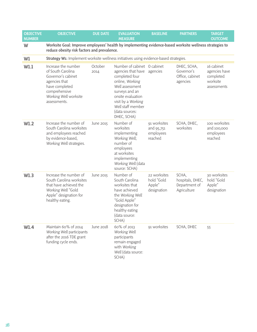| <b>OBJECTIVE</b><br><b>NUMBER</b> | <b>OBJECTIVE</b>                                                                                                                                            | <b>DUE DATE</b> | <b>EVALUATION</b><br><b>MEASURE</b>                                                                                                                                                                                          | <b>BASELINE</b>                                     | <b>PARTNERS</b>                                           | <b>TARGET</b><br><b>OUTCOME</b>                                     |
|-----------------------------------|-------------------------------------------------------------------------------------------------------------------------------------------------------------|-----------------|------------------------------------------------------------------------------------------------------------------------------------------------------------------------------------------------------------------------------|-----------------------------------------------------|-----------------------------------------------------------|---------------------------------------------------------------------|
| W                                 | Worksite Goal: Improve employees' health by implementing evidence-based worksite wellness strategies to<br>reduce obesity risk factors and prevalence.      |                 |                                                                                                                                                                                                                              |                                                     |                                                           |                                                                     |
| W1                                | Strategy W1: Implement worksite wellness initiatives using evidence-based strategies.                                                                       |                 |                                                                                                                                                                                                                              |                                                     |                                                           |                                                                     |
| W1.1                              | Increase the number<br>of South Carolina<br>Governor's cabinet<br>agencies that<br>have completed<br>comprehensive<br>Working Well worksite<br>assessments. | October<br>2014 | Number of cabinet 0 cabinet<br>agencies that have<br>completed four<br>online, Working<br>Well assessment<br>surveys and an<br>onsite evaluation<br>visit by a Working<br>Well staff member<br>(data sources:<br>DHEC, SCHA) | agencies                                            | DHEC, SCHA,<br>Governor's<br>Office, cabinet<br>agencies  | 16 cabinet<br>agencies have<br>completed<br>worksite<br>assessments |
| W1.2                              | Increase the number of<br>South Carolina worksites<br>and employees reached<br>by evidence-based,<br>Working Well strategies.                               | June 2015       | Number of<br>worksites<br>implementing<br>Working Well;<br>number of<br>employees<br>at worksites<br>implementing<br>Working Well (data<br>source: SCHA)                                                                     | 91 worksites<br>and 95,751<br>employees<br>reached  | SCHA, DHEC,<br>worksites                                  | 100 worksites<br>and 100,000<br>employees<br>reached                |
| W1.3                              | Increase the number of<br>South Carolina worksites<br>that have achieved the<br>Working Well "Gold<br>Apple" designation for<br>healthy eating.             | June 2015       | Number of<br>South Carolina<br>worksites that<br>have achieved<br>the Working Well<br>"Gold Apple"<br>designation for<br>healthy eating<br>(data source:<br>SCHA)                                                            | 22 worksites<br>hold "Gold<br>Apple"<br>designation | SCHA,<br>hospitals, DHEC,<br>Department of<br>Agriculture | 30 worksites<br>hold "Gold<br>Apple"<br>designation                 |
| W1.4                              | Maintain 60% of 2014<br>Working Well participants<br>after the 2016 TDE grant<br>funding cycle ends.                                                        | June 2018       | 60% of 2013<br>Working Well<br>participants<br>remain engaged<br>with Working<br>Well (data source:<br>SCHA)                                                                                                                 | 91 worksites                                        | SCHA, DHEC                                                | 55                                                                  |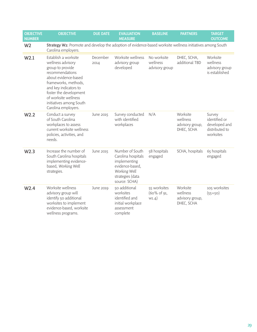| <b>OBJECTIVE</b><br><b>NUMBER</b> | <b>OBJECTIVE</b>                                                                                                                                                                                                                                              | <b>DUE DATE</b>  | <b>EVALUATION</b><br><b>MEASURE</b>                                                                                           | <b>BASELINE</b>                           | <b>PARTNERS</b>                                       | <b>TARGET</b><br><b>OUTCOME</b>                                         |
|-----------------------------------|---------------------------------------------------------------------------------------------------------------------------------------------------------------------------------------------------------------------------------------------------------------|------------------|-------------------------------------------------------------------------------------------------------------------------------|-------------------------------------------|-------------------------------------------------------|-------------------------------------------------------------------------|
| W <sub>2</sub>                    | Strategy W2: Promote and develop the adoption of evidence-based worksite wellness initiatives among South<br>Carolina employers.                                                                                                                              |                  |                                                                                                                               |                                           |                                                       |                                                                         |
| W2.1                              | Establish a worksite<br>wellness advisory<br>group to provide<br>recommendations<br>about evidence-based<br>frameworks, methods,<br>and key indicators to<br>foster the development<br>of worksite wellness<br>initiatives among South<br>Carolina employers. | December<br>2014 | Worksite wellness<br>advisory group<br>developed                                                                              | No worksite<br>wellness<br>advisory group | DHEC, SCHA,<br>additional TBD                         | Worksite<br>wellness<br>advisory group<br>is established                |
| W <sub>2.2</sub>                  | Conduct a survey<br>of South Carolina<br>workplaces to assess<br>current worksite wellness<br>policies, activities, and<br>needs.                                                                                                                             | June 2015        | Survey conducted<br>with identified<br>workplaces                                                                             | N/A                                       | Worksite<br>wellness<br>advisory group,<br>DHEC, SCHA | Survey<br>identified or<br>developed and<br>distributed to<br>worksites |
| W <sub>2.3</sub>                  | Increase the number of<br>South Carolina hospitals<br>implementing evidence-<br>based, Working Well<br>strategies.                                                                                                                                            | June 2015        | Number of South<br>Carolina hospitals<br>implementing<br>evidence-based,<br>Working Well<br>strategies (data<br>source: SCHA) | 58 hospitals<br>engaged                   | SCHA, hospitals                                       | 65 hospitals<br>engaged                                                 |
| W <sub>2.4</sub>                  | Worksite wellness<br>advisory group will<br>identify 50 additional<br>worksites to implement<br>evidence-based, worksite<br>wellness programs.                                                                                                                | June 2019        | 50 additional<br>worksites<br>identified and<br>initial workplace<br>assessment<br>complete                                   | 55 worksites<br>(60% of 91,<br>W1.4)      | Worksite<br>wellness<br>advisory group,<br>DHEC, SCHA | 105 worksites<br>$(55+50)$                                              |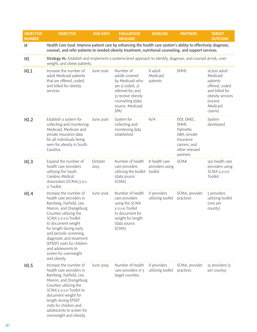| <b>OBJECTIVE</b><br><b>NUMBER</b> | <b>OBJECTIVE</b>                                                                                                                                                                                                                                                                                                                                                 | <b>DUE DATE</b> | <b>EVALUATION</b><br><b>MEASURE</b>                                                                                                                           | <b>BASELINE</b>                  | <b>PARTNERS</b>                                                                                                   | <b>TARGET</b><br><b>OUTCOME</b>                                                                                                 |
|-----------------------------------|------------------------------------------------------------------------------------------------------------------------------------------------------------------------------------------------------------------------------------------------------------------------------------------------------------------------------------------------------------------|-----------------|---------------------------------------------------------------------------------------------------------------------------------------------------------------|----------------------------------|-------------------------------------------------------------------------------------------------------------------|---------------------------------------------------------------------------------------------------------------------------------|
| Н                                 | Health Care Goal: Improve patient care by enhancing the health care system's ability to effectively diagnose,<br>counsel, and refer patients to needed obesity treatment, nutritional counseling, and support services.                                                                                                                                          |                 |                                                                                                                                                               |                                  |                                                                                                                   |                                                                                                                                 |
| H1                                | Strategy H1: Establish and implement a systems-level approach to identify, diagnose, and counsel at-risk, over-<br>weight, and obese patients.                                                                                                                                                                                                                   |                 |                                                                                                                                                               |                                  |                                                                                                                   |                                                                                                                                 |
| H1.1                              | Increase the number of<br>adult Medicaid patients<br>that are offered, coded,<br>and billed for obesity<br>services.                                                                                                                                                                                                                                             | June 2016       | Number of<br>adults covered<br>by Medicaid who<br>are 1) coded, 2)<br>referred for, and<br>3) receive obesity<br>counseling (data<br>source: Medicaid<br>SPA) | 0 adult<br>Medicaid<br>patients  | <b>DHHS</b>                                                                                                       | 16,620 adult<br>Medicaid<br>patients<br>offered, coded<br>and billed for<br>obesity services<br>(source:<br>Medicaid<br>claims) |
| H1.2                              | Establish a system for<br>collecting and monitoring<br>Medicaid, Medicare and<br>private insurance data<br>for all individuals being<br>seen for obesity in South<br>Carolina.                                                                                                                                                                                   | June 2016       | System for<br>collecting and<br>monitoring data<br>established                                                                                                | N/A                              | DOI, DHEC,<br><b>DHHS</b><br>Palmetto<br>GBA, private<br>Insurance<br>carriers, and<br>other relevant<br>partners | System<br>developed                                                                                                             |
| H1.3                              | Expand the number of<br>health care providers<br>utilizing the South<br>Carolina Medical<br>Association (SCMA) 5-2-1-<br>o Toolkit.                                                                                                                                                                                                                              | October<br>2015 | Number of health<br>care providers<br>utilizing the toolkit toolkit<br>(data source:<br>SCMA)                                                                 | 8 health care<br>providers using | <b>SCMA</b>                                                                                                       | 150 health care<br>providers using<br>SCMA 5-2-1-0<br>Toolkit                                                                   |
| H1.4                              | Increase the number of<br>health care providers in<br>Bamberg, Fairfield, Lee,<br>Marion, and Orangeburg<br>Counties utilizing the<br>SCMA 5-2-1-0 Toolkit<br>to document weight<br>for length during early<br>and periodic screening,<br>diagnostic and treatment<br>(EPSDT) visits for children<br>and adolescents to<br>screen for overweight<br>and obesity. | June 2016       | Number of health<br>care providers<br>using the SCMA<br>5-2-1-0 Toolkit<br>to document for<br>weight for length<br>(data source:<br>SCMA)                     | 0 providers<br>utilizing toolkit | SCMA, provider<br>practices                                                                                       | 5 providers<br>utilizing toolkit<br>(one per<br>county)                                                                         |
| H1.5                              | Increase the number of<br>health care providers in<br>Bamberg, Fairfield, Lee,<br>Marion, and Orangeburg<br>Counties utilizing the<br>SCMA 5-2-1-0 Toolkit to<br>document weight for<br>length during EPSDT<br>visits for children and<br>adolescents to screen for<br>overweight and obesity.                                                                   | June 2019       | Number of health<br>care providers in 5<br>target counties.                                                                                                   | 0 providers<br>utilizing toolkit | SCMA, provider<br>practices                                                                                       | 15 providers (3<br>per county)                                                                                                  |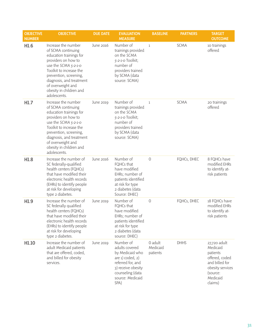| <b>OBJECTIVE</b><br><b>NUMBER</b> | <b>OBJECTIVE</b>                                                                                                                                                                                                                                                     | <b>DUE DATE</b> | <b>EVALUATION</b><br><b>MEASURE</b>                                                                                                                               | <b>BASELINE</b>                 | <b>PARTNERS</b> | <b>TARGET</b><br><b>OUTCOME</b>                                                                                                 |
|-----------------------------------|----------------------------------------------------------------------------------------------------------------------------------------------------------------------------------------------------------------------------------------------------------------------|-----------------|-------------------------------------------------------------------------------------------------------------------------------------------------------------------|---------------------------------|-----------------|---------------------------------------------------------------------------------------------------------------------------------|
| H1.6                              | Increase the number<br>of SCMA continuing<br>education trainings for<br>providers on how to<br>use the SCMA 5-2-1-0<br>Toolkit to increase the<br>prevention, screening,<br>diagnosis, and treatment<br>of overweight and<br>obesity in children and<br>adolescents. | June 2016       | Number of<br>trainings provided<br>on the SCMA<br>5-2-1-0 Toolkit;<br>number of<br>providers trained<br>by SCMA (data<br>source: SCMA)                            | $\mathbf{1}$                    | <b>SCMA</b>     | 10 trainings<br>offered                                                                                                         |
| H1.7                              | Increase the number<br>of SCMA continuing<br>education trainings for<br>providers on how to<br>use the SCMA 5-2-1-0<br>Toolkit to increase the<br>prevention, screening,<br>diagnosis, and treatment<br>of overweight and<br>obesity in children and<br>adolescents. | June 2019       | Number of<br>trainings provided<br>on the SCMA<br>5-2-1-0 Toolkit;<br>number of<br>providers trained<br>by SCMA (data<br>source: SCMA)                            | $\mathbf{1}$                    | <b>SCMA</b>     | 20 trainings<br>offered                                                                                                         |
| H1.8                              | Increase the number of<br>SC federally-qualified<br>health centers (FQHCs)<br>that have modified their<br>electronic health records<br>(EHRs) to identify people<br>at risk for developing<br>type 2 diabetes.                                                       | June 2016       | Number of<br>FQHCs that<br>have modified<br>EHRs; number of<br>patients identified<br>at risk for type<br>2 diabetes (data<br>Source: DHEC)                       | $\mathbf 0$                     | FQHCs, DHEC     | 8 FQHCs have<br>modified EHRs<br>to identify at-<br>risk patients                                                               |
| H1.9                              | Increase the number of<br>SC federally qualified<br>health centers (FQHCs)<br>that have modified their<br>electronic health records<br>(EHRs) to identify people<br>at risk for developing<br>type 2 diabetes.                                                       | June 2019       | Number of<br>FQHCs that<br>have modified<br>EHRs; number of<br>patients identified<br>at risk for type<br>2 diabetes (data<br>source: DHEC)                       | $\circ$                         | FQHCs, DHEC     | 18 FQHCs have<br>modified EHRs<br>to identify at-<br>risk patients                                                              |
| H1.10                             | Increase the number of<br>adult Medicaid patients<br>that are offered, coded,<br>and billed for obesity<br>services.                                                                                                                                                 | June 2019       | Number of<br>adults covered<br>by Medicaid who<br>are $1)$ coded, $2)$<br>referred for, and<br>3) receive obesity<br>counseling (data<br>source: Medicaid<br>SPA) | 0 adult<br>Medicaid<br>patients | <b>DHHS</b>     | 27,720 adult<br>Medicaid<br>patients<br>offered, coded<br>and billed for<br>obesity services<br>(source:<br>Medicaid<br>claims) |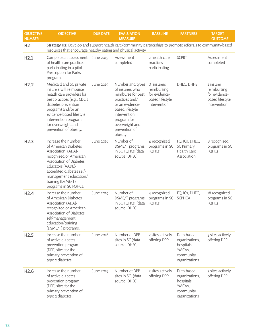| <b>OBJECTIVE</b><br><b>NUMBER</b> | <b>OBJECTIVE</b>                                                                                                                                                                                                                                                | <b>DUE DATE</b>  | <b>EVALUATION</b><br><b>MEASURE</b>                                                                                                                                                            | <b>BASELINE</b>                                                               | <b>PARTNERS</b>                                                                     | <b>TARGET</b><br><b>OUTCOME</b>                                              |
|-----------------------------------|-----------------------------------------------------------------------------------------------------------------------------------------------------------------------------------------------------------------------------------------------------------------|------------------|------------------------------------------------------------------------------------------------------------------------------------------------------------------------------------------------|-------------------------------------------------------------------------------|-------------------------------------------------------------------------------------|------------------------------------------------------------------------------|
| H <sub>2</sub>                    | Strategy H2: Develop and support health care/community partnerships to promote referrals to community-based<br>resources that encourage healthy eating and physical activity.                                                                                   |                  |                                                                                                                                                                                                |                                                                               |                                                                                     |                                                                              |
| H2.1                              | Complete an assessment<br>of health care practices<br>participating in a pilot<br>Prescription for Parks<br>program.                                                                                                                                            | June 2015        | Assessment<br>completed                                                                                                                                                                        | 2 health care<br>practices<br>participating                                   | <b>SCPRT</b>                                                                        | Assessment<br>completed                                                      |
| H2.2                              | Medicaid and SC private<br>insurers will reimburse<br>health care providers for<br>best practices (e.g., CDC's<br>diabetes prevention<br>program) and/or an<br>evidence-based lifestyle<br>intervention program<br>for overweight and<br>prevention of obesity. | <b>June 2019</b> | Number and types<br>of insurers who<br>reimburse for best<br>practices and/<br>or an evidence-<br>based lifestyle<br>intervention<br>program for<br>overweight and<br>prevention of<br>obesity | 0 insurers<br>reimbursing<br>for evidence-<br>based lifestyle<br>intervention | DHEC, DHHS                                                                          | 1 insurer<br>reimbursing<br>for evidence-<br>based lifestyle<br>intervention |
| H2.3                              | Increase the number<br>of American Diabetes<br>Association (ADA)-<br>recognized or American<br>Association of Diabetes<br>Educators (AADE)-<br>accredited diabetes self-<br>management education/<br>training (DSME/T)<br>programs in SC FQHCs.                 | June 2016        | Number of<br>DSME/T programs<br>in SC FQHCs (data<br>source: DHEC)                                                                                                                             | 4 recognized<br>programs in SC<br><b>FQHCs</b>                                | FQHCs, DHEC,<br><b>SC Primary</b><br>Health Care<br>Association                     | 8 recognized<br>programs in SC<br><b>FQHCs</b>                               |
| H2.4                              | Increase the number<br>of American Diabetes<br>Association (ADA)-<br>recognized or American<br>Association of Diabetes<br>self-management<br>education/training<br>(DSME/T) programs.                                                                           | <b>June 2019</b> | Number of<br>DSME/T programs<br>in SC FQHCs (data<br>source: DHEC)                                                                                                                             | 4 recognized<br>programs in SC<br><b>FQHCs</b>                                | FQHCs, DHEC,<br><b>SCPHCA</b>                                                       | 18 recognized<br>programs in SC<br><b>FQHCs</b>                              |
| H2.5                              | Increase the number<br>of active diabetes<br>prevention program<br>(DPP) sites for the<br>primary prevention of<br>type 2 diabetes.                                                                                                                             | June 2016        | Number of DPP<br>sites in SC (data<br>source: DHEC)                                                                                                                                            | 2 sites actively<br>offering DPP                                              | Faith-based<br>organizations,<br>hospitals,<br>YMCAs,<br>community<br>organizations | 3 sites actively<br>offering DPP                                             |
| H <sub>2.6</sub>                  | Increase the number<br>of active diabetes<br>prevention program<br>(DPP) sites for the<br>primary prevention of<br>type 2 diabetes.                                                                                                                             | June 2019        | Number of DPP<br>sites in SC. (data<br>source: DHEC)                                                                                                                                           | 2 sites actively<br>offering DPP                                              | Faith-based<br>organizations,<br>hospitals,<br>YMCAs,<br>community<br>organizations | 7 sites actively<br>offering DPP                                             |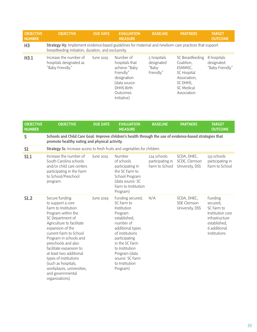| <b>OBJECTIVE</b><br><b>NUMBER</b> | <b>OBJECTIVE</b>                                                                                                                                              | <b>DUE DATE</b> | <b>EVALUATION</b><br><b>MEASURE</b>                                                                                                       | <b>BASELINE</b>                                 | <b>PARTNERS</b>                                                                                                          | <b>TARGET</b><br><b>OUTCOME</b>              |  |  |
|-----------------------------------|---------------------------------------------------------------------------------------------------------------------------------------------------------------|-----------------|-------------------------------------------------------------------------------------------------------------------------------------------|-------------------------------------------------|--------------------------------------------------------------------------------------------------------------------------|----------------------------------------------|--|--|
| H <sub>3</sub>                    | Strategy H3: Implement evidence-based guidelines for maternal and newborn care practices that support<br>breastfeeding initiation, duration, and exclusivity. |                 |                                                                                                                                           |                                                 |                                                                                                                          |                                              |  |  |
| H3.1                              | Increase the number of<br>hospitals designated as<br>"Baby Friendly."                                                                                         | June 2015       | Number of<br>hospitals that<br>achieve "Baby<br>Friendly"<br>designation<br>(data source:<br><b>DHHS Birth</b><br>Outcomes<br>Initiative) | 5 hospitals<br>designated<br>"Baby<br>Friendly" | SC Breastfeeding<br>Coalition,<br>ESMMSC.<br><b>SC Hospital</b><br>Association,<br>SC DHHS,<br>SC Medical<br>Association | 8 hospitals<br>designated<br>"Baby Friendly" |  |  |

| <b>OBJECTIVE</b><br><b>NUMBER</b> | <b>OBJECTIVE</b>                                                                                                                                                                                                                                                                                                                                                                                           | <b>DUE DATE</b>  | <b>EVALUATION</b><br><b>MEASURE</b>                                                                                                                                                                                                                 | <b>BASELINE</b>                                   | <b>PARTNERS</b>                                 | <b>TARGET</b><br><b>OUTCOME</b>                                                                                         |  |  |
|-----------------------------------|------------------------------------------------------------------------------------------------------------------------------------------------------------------------------------------------------------------------------------------------------------------------------------------------------------------------------------------------------------------------------------------------------------|------------------|-----------------------------------------------------------------------------------------------------------------------------------------------------------------------------------------------------------------------------------------------------|---------------------------------------------------|-------------------------------------------------|-------------------------------------------------------------------------------------------------------------------------|--|--|
| S                                 | Schools and Child Care Goal: Improve children's health through the use of evidence-based strategies that<br>promote healthy eating and physical activity.                                                                                                                                                                                                                                                  |                  |                                                                                                                                                                                                                                                     |                                                   |                                                 |                                                                                                                         |  |  |
| S1                                | <b>Strategy S1:</b> Increase access to fresh fruits and vegetables for children.                                                                                                                                                                                                                                                                                                                           |                  |                                                                                                                                                                                                                                                     |                                                   |                                                 |                                                                                                                         |  |  |
| S1.1                              | Increase the number of<br>South Carolina schools<br>and/or child care centers<br>participating in the Farm<br>to School/Preschool<br>program.                                                                                                                                                                                                                                                              | June 2015        | Number<br>of schools<br>participating in<br>the SC Farm to<br>School Program<br>(data source: SC<br>Farm to Institution<br>Program)                                                                                                                 | 124 schools<br>participating in<br>Farm to School | SCDA, DHEC,<br>SCDE, Clemson<br>University, DSS | 133 schools<br>participating in<br>Farm to School                                                                       |  |  |
| S1.2                              | Secure funding<br>to support a core<br>Farm to Institution<br>Program within the<br>SC Department of<br>Agriculture to facilitate<br>expansion of the<br>current Farm to School<br>Program in schools and<br>preschools and also<br>facilitate expansion to<br>at least two additional<br>types of institutions<br>(such as hospitals,<br>workplaces, universities,<br>and governmental<br>organizations). | <b>June 2019</b> | Funding secured;<br>SC Farm to<br>Institution<br>Program<br>established;<br>number of<br>additional types<br>of institutions<br>participating<br>in the SC Farm<br>to Institution<br>Program (data<br>source: SC Farm<br>to Institution<br>Program) | N/A                                               | SCDA, DHEC,<br>SDE Clemson<br>University, DSS   | Funding<br>secured;<br>SC Farm to<br>Institution core<br>infrastructure<br>established;<br>6 additional<br>institutions |  |  |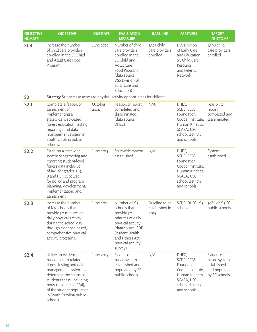| <b>OBJECTIVE</b><br><b>NUMBER</b> | <b>OBJECTIVE</b>                                                                                                                                                                                                                                          | <b>DUE DATE</b>  | <b>EVALUATION</b><br><b>MEASURE</b>                                                                                                                                                  | <b>BASELINE</b>                           | <b>PARTNERS</b>                                                                                                              | <b>TARGET</b><br><b>OUTCOME</b>                                            |
|-----------------------------------|-----------------------------------------------------------------------------------------------------------------------------------------------------------------------------------------------------------------------------------------------------------|------------------|--------------------------------------------------------------------------------------------------------------------------------------------------------------------------------------|-------------------------------------------|------------------------------------------------------------------------------------------------------------------------------|----------------------------------------------------------------------------|
| S1.3                              | Increase the number<br>of child care providers<br>enrolled in the SC Child<br>and Adult Care Food<br>Program.                                                                                                                                             | <b>June 2019</b> | Number of child<br>care providers<br>enrolled in the<br>SC Child and<br><b>Adult Care</b><br>Food Program<br>(data source:<br><b>DSS Division of</b><br>Early Care and<br>Education) | 1,323 child<br>care providers<br>enrolled | <b>DSS Division</b><br>of Early Care<br>and Education,<br>SC Child Care<br>Resource<br>and Referral<br>Network               | 1,398 child<br>care providers<br>enrolled                                  |
| S <sub>2</sub>                    | Strategy S2: Increase access to physical activity opportunities for children.                                                                                                                                                                             |                  |                                                                                                                                                                                      |                                           |                                                                                                                              |                                                                            |
| S2.1                              | Complete a feasibility<br>assessment of<br>implementing a<br>statewide web-based<br>fitness education, testing,<br>reporting, and data<br>management system in<br>South Carolina public<br>schools.                                                       | October<br>2014  | Feasibility report<br>completed and<br>disseminated<br>(data source:<br>DHEC)                                                                                                        | N/A                                       | DHEC,<br>SCDE, BCBS<br>Foundation,<br>Cooper Institute,<br>Human Kinetics,<br>SCASA, USC,<br>school districts<br>and schools | Feasibility<br>report<br>completed and<br>disseminated                     |
| S2.2                              | Establish a statewide<br>system for gathering and<br>reporting student-level<br>fitness data inclusive<br>of BMI for grades 2, 5,<br>8 and HS PE1 course<br>for policy and program<br>planning, development,<br>implementation, and<br>assessment.        | June 2015        | Statewide system<br>established                                                                                                                                                      | N/A                                       | DHEC,<br>SCDE, BCBS<br>Foundation,<br>Cooper Institute,<br>Human Kinetics,<br>SCASA, USC,<br>school districts<br>and schools | System<br>established                                                      |
| S2.3                              | Increase the number<br>of K-5 schools that<br>provide 30 minutes of<br>daily physical activity<br>during the school day<br>through evidence-based,<br>comprehensive physical<br>activity programs.                                                        | June 2016        | Number of K-5<br>schools that<br>provide 30<br>minutes of daily<br>physical activity<br>(data source: SDE<br>Student Health<br>and Fitness Act<br>physical activity<br>survey)       | Baseline to be<br>established in<br>2015  | SCDE, DHEC, K-5<br>schools                                                                                                   | 50% of K-5 SC<br>public schools                                            |
| <b>S2.4</b>                       | Utilize an evidence-<br>based, health-related<br>fitness testing and data<br>management system to<br>determine the status of<br>student fitness, including<br>body mass index (BMI),<br>of the student population<br>in South Carolina public<br>schools. | June 2019        | Evidence-<br>based system<br>established and<br>populated by SC<br>public schools                                                                                                    | N/A                                       | DHEC,<br>SCDE, BCBS<br>Foundation,<br>Cooper Institute,<br>Human Kinetics,<br>SCASA, USC,<br>school districts<br>and schools | Evidence-<br>based system<br>established<br>and populated<br>by SC schools |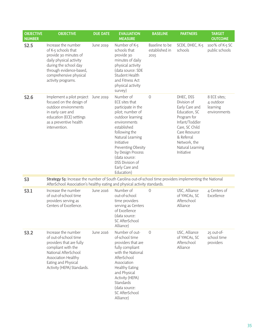| <b>OBJECTIVE</b><br><b>NUMBER</b> | <b>OBJECTIVE</b>                                                                                                                                                                                   | <b>DUE DATE</b>  | <b>EVALUATION</b><br><b>MEASURE</b>                                                                                                                                                                                                                                                        | <b>BASELINE</b>                          | <b>PARTNERS</b>                                                                                                                                                                                 | <b>TARGET</b><br><b>OUTCOME</b>                       |
|-----------------------------------|----------------------------------------------------------------------------------------------------------------------------------------------------------------------------------------------------|------------------|--------------------------------------------------------------------------------------------------------------------------------------------------------------------------------------------------------------------------------------------------------------------------------------------|------------------------------------------|-------------------------------------------------------------------------------------------------------------------------------------------------------------------------------------------------|-------------------------------------------------------|
| S2.5                              | Increase the number<br>of K-5 schools that<br>provide 30 minutes of<br>daily physical activity<br>during the school day<br>through evidence-based,<br>comprehensive physical<br>activity programs. | <b>June 2019</b> | Number of K-5<br>schools that<br>provide 30<br>minutes of daily<br>physical activity<br>(data source: SDE<br>Student Health<br>and Fitness Act<br>physical activity<br>survey)                                                                                                             | Baseline to be<br>established in<br>2015 | SCDE, DHEC, K-5<br>schools                                                                                                                                                                      | 100% of K-5 SC<br>public schools                      |
| <b>S2.6</b>                       | Implement a pilot project<br>focused on the design of<br>outdoor environments<br>in early care and<br>education (ECE) settings<br>as a preventive health<br>intervention.                          | June 2019        | Number of<br>ECE sites that<br>participate in the<br>pilot; number of<br>outdoor learning<br>environments<br>established<br>following the<br>Natural Learning<br>Initiative<br>Preventing Obesity<br>by Design Process<br>(data source:<br>DSS Division of<br>Early Care and<br>Education) | $\mathbf 0$                              | DHEC, DSS<br>Division of<br>Early Care and<br>Education, SC<br>Program for<br>Infant/Toddler<br>Care, SC Child<br>Care Resource<br>& Referral<br>Network, the<br>Natural Learning<br>Initiative | 8 ECE sites;<br>4 outdoor<br>learning<br>environments |
| S <sub>3</sub>                    | Strategy S3: Increase the number of South Carolina out-of-school time providers implementing the National<br>AfterSchool Association's healthy eating and physical activity standards.             |                  |                                                                                                                                                                                                                                                                                            |                                          |                                                                                                                                                                                                 |                                                       |
| S3.1                              | Increase the number<br>of out-of-school time<br>providers serving as<br>Centers of Excellence.                                                                                                     | June 2016        | Number of<br>out-of-school<br>time providers<br>serving as Centers<br>of Excellence<br>(data source:<br>SC AfterSchool<br>Alliance)                                                                                                                                                        | $\bigcirc$                               | USC, Alliance<br>of YMCAs, SC<br>Afterschool<br>Alliance                                                                                                                                        | 4 Centers of<br>Excellence                            |
| S3.2                              | Increase the number<br>of out-of-school time<br>providers that are fully<br>compliant with the<br>National AfterSchool<br>Association Healthy<br>Eating and Physical<br>Activity (HEPA) Standards. | June 2016        | Number of out-<br>of-school time<br>providers that are<br>fully compliant<br>with the National<br>AfterSchool<br>Association<br><b>Healthy Eating</b><br>and Physical<br>Activity (HEPA)<br>Standards<br>(data source:<br>SC AfterSchool<br>Alliance)                                      | $\Omega$                                 | USC, Alliance<br>of YMCAs, SC<br>Afterschool<br>Alliance                                                                                                                                        | 25 out-of-<br>school time<br>providers                |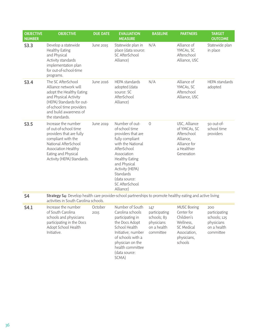| <b>OBJECTIVE</b><br><b>NUMBER</b> | <b>OBJECTIVE</b>                                                                                                                                                                                      | <b>DUE DATE</b> | <b>EVALUATION</b><br><b>MEASURE</b>                                                                                                                                                                                                                   | <b>BASELINE</b>                                                               | <b>PARTNERS</b>                                                                                                     | <b>TARGET</b><br><b>OUTCOME</b>                                                |
|-----------------------------------|-------------------------------------------------------------------------------------------------------------------------------------------------------------------------------------------------------|-----------------|-------------------------------------------------------------------------------------------------------------------------------------------------------------------------------------------------------------------------------------------------------|-------------------------------------------------------------------------------|---------------------------------------------------------------------------------------------------------------------|--------------------------------------------------------------------------------|
| S3.3                              | Develop a statewide<br><b>Healthy Eating</b><br>and Physical<br>Activity standards<br>implementation plan<br>for out-of-school-time<br>programs.                                                      | June 2015       | Statewide plan in<br>place (data source:<br>SC AfterSchool<br>Alliance)                                                                                                                                                                               | N/A                                                                           | Alliance of<br>YMCAs, SC<br>Afterschool<br>Alliance, USC                                                            | Statewide plan<br>in place                                                     |
| S3.4                              | The SC AfterSchool<br>Alliance network will<br>adopt the Healthy Eating<br>and Physical Activity<br>(HEPA) Standards for out-<br>of-school time providers<br>and build awareness of<br>the standards. | June 2016       | <b>HEPA</b> standards<br>adopted (data<br>source: SC<br>AfterSchool<br>Alliance)                                                                                                                                                                      | N/A                                                                           | Alliance of<br>YMCAs, SC<br>Afterschool<br>Alliance, USC                                                            | HEPA standards<br>adopted                                                      |
| S3.5                              | Increase the number<br>of out-of-school time<br>providers that are fully<br>compliant with the<br>National AfterSchool<br>Association Healthy<br>Eating and Physical<br>Activity (HEPA) Standards.    | June 2019       | Number of out-<br>of-school time<br>providers that are<br>fully compliant<br>with the National<br>AfterSchool<br>Association<br><b>Healthy Eating</b><br>and Physical<br>Activity (HEPA)<br>Standards<br>(data source:<br>SC AfterSchool<br>Alliance) | $\Omega$                                                                      | USC, Alliance<br>of YMCAs, SC<br>Afterschool<br>Alliance,<br>Alliance for<br>a Healthier<br>Generation              | 50 out-of-<br>school time<br>providers                                         |
| <b>S4</b>                         | Strategy S4: Develop health care provider-school partnerships to promote healthy eating and active living<br>activities in South Carolina schools.                                                    |                 |                                                                                                                                                                                                                                                       |                                                                               |                                                                                                                     |                                                                                |
| S4.1                              | Increase the number<br>of South Carolina<br>schools and physicians<br>participating in the Docs<br>Adopt School Health<br>Initiative.                                                                 | October<br>2015 | Number of South<br>Carolina schools<br>participating in<br>the Docs Adopt<br>School Health<br>Initiative; number<br>of schools with a<br>physician on the<br>health committee<br>(data source:<br>SCMA)                                               | 147<br>participating<br>schools; 83<br>physicians<br>on a health<br>committee | <b>MUSC Boeing</b><br>Center for<br>Children's<br>Wellness,<br>SC Medical<br>Association,<br>physicians,<br>schools | 200<br>participating<br>schools; 125<br>physicians<br>on a health<br>committee |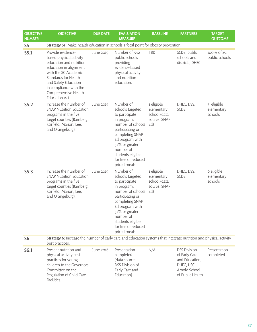| <b>OBJECTIVE</b><br><b>NUMBER</b> | <b>OBJECTIVE</b>                                                                                                                                                                                                                              | <b>DUE DATE</b>  | <b>EVALUATION</b><br><b>MEASURE</b>                                                                                                                                                                                                      | <b>BASELINE</b>                                                 | <b>PARTNERS</b>                                                                                          | <b>TARGET</b><br><b>OUTCOME</b>     |  |  |
|-----------------------------------|-----------------------------------------------------------------------------------------------------------------------------------------------------------------------------------------------------------------------------------------------|------------------|------------------------------------------------------------------------------------------------------------------------------------------------------------------------------------------------------------------------------------------|-----------------------------------------------------------------|----------------------------------------------------------------------------------------------------------|-------------------------------------|--|--|
| S <sub>5</sub>                    | Strategy S5: Make health education in schools a focal point for obesity prevention.                                                                                                                                                           |                  |                                                                                                                                                                                                                                          |                                                                 |                                                                                                          |                                     |  |  |
| S5.1                              | Provide evidence-<br>based physical activity<br>education and nutrition<br>education in alignment<br>with the SC Academic<br>Standards for Health<br>and Safety Education<br>in compliance with the<br>Comprehensive Health<br>Education Act. | <b>June 2019</b> | Number of K-12<br>public schools<br>providing<br>evidence-based<br>physical activity<br>and nutrition<br>education.                                                                                                                      | TBD                                                             | SCDE, public<br>schools and<br>districts, DHEC                                                           | 100% of SC<br>public schools        |  |  |
| S5.2                              | Increase the number of<br><b>SNAP Nutrition Education</b><br>programs in the five<br>target counties (Bamberg,<br>Fairfield, Marion, Lee,<br>and Orangeburg).                                                                                 | June 2015        | Number of<br>schools targeted<br>to participate<br>in program;<br>number of schools<br>participating or<br>completing SNAP<br>Ed program with<br>51% or greater<br>number of<br>students eligible<br>for free or reduced<br>priced meals | 1 eligible<br>elementary<br>school (data<br>source: SNAP<br>Ed) | DHEC, DSS,<br><b>SCDE</b>                                                                                | 3 eligible<br>elementary<br>schools |  |  |
| S5.3                              | Increase the number of<br><b>SNAP Nutrition Education</b><br>programs in the five<br>target counties (Bamberg,<br>Fairfield, Marion, Lee,<br>and Orangeburg).                                                                                 | <b>June 2019</b> | Number of<br>schools targeted<br>to participate<br>in program;<br>number of schools<br>participating or<br>completing SNAP<br>Ed program with<br>51% or greater<br>number of<br>students eligible<br>for free or reduced<br>priced meals | 1 eligible<br>elementary<br>school (data<br>source: SNAP<br>Ed) | DHEC, DSS,<br><b>SCDE</b>                                                                                | 6 eligible<br>elementary<br>schools |  |  |
| S <sub>6</sub>                    | Strategy 6: Increase the number of early care and education systems that integrate nutrition and physical activity<br>best practices.                                                                                                         |                  |                                                                                                                                                                                                                                          |                                                                 |                                                                                                          |                                     |  |  |
| S6.1                              | Present nutrition and<br>physical activity best<br>practices for young<br>children to the Governors<br>Committee on the<br>Regulation of Child Care<br>Facilities.                                                                            | June 2016        | Presentation<br>completed<br>(data source:<br><b>DSS Division of</b><br>Early Care and<br>Education)                                                                                                                                     | N/A                                                             | <b>DSS Division</b><br>of Early Care<br>and Education,<br>DHEC, USC<br>Arnold School<br>of Public Health | Presentation<br>completed           |  |  |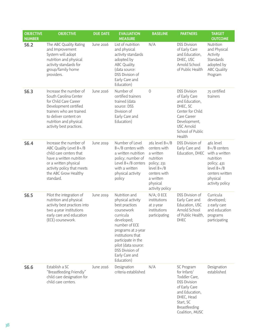| <b>OBJECTIVE</b><br><b>NUMBER</b> | <b>OBJECTIVE</b>                                                                                                                                                                                             | <b>DUE DATE</b>  | <b>EVALUATION</b><br><b>MEASURE</b>                                                                                                                                                                                                                       | <b>BASELINE</b>                                                                                                                                         | <b>PARTNERS</b>                                                                                                                                                          | <b>TARGET</b><br><b>OUTCOME</b>                                                                                                             |
|-----------------------------------|--------------------------------------------------------------------------------------------------------------------------------------------------------------------------------------------------------------|------------------|-----------------------------------------------------------------------------------------------------------------------------------------------------------------------------------------------------------------------------------------------------------|---------------------------------------------------------------------------------------------------------------------------------------------------------|--------------------------------------------------------------------------------------------------------------------------------------------------------------------------|---------------------------------------------------------------------------------------------------------------------------------------------|
| S6.2                              | The ABC Quality Rating<br>and Improvement<br>System will adopt<br>nutrition and physical<br>activity standards for<br>group/family home<br>providers.                                                        | June 2016        | List of nutrition<br>and physical<br>activity standards<br>adopted by<br>ABC Quality.<br>(data source:<br>DSS Division of<br>Early Care and<br>Education)                                                                                                 | N/A                                                                                                                                                     | <b>DSS Division</b><br>of Early Care<br>and Education,<br>DHEC, USC<br>Arnold School<br>of Public Health                                                                 | Nutrition<br>and Physical<br>Activity<br>Standards<br>adopted by<br><b>ABC Quality</b><br>Program                                           |
| S6.3                              | Increase the number of<br>South Carolina Center<br>for Child Care Career<br>Development certified<br>trainers who are trained<br>to deliver content on<br>nutrition and physical<br>activity best practices. | June 2016        | Number of<br>certified trainers<br>trained (data<br>source: DSS<br>Division of<br>Early Care and<br>Education)                                                                                                                                            | $\overline{0}$                                                                                                                                          | <b>DSS Division</b><br>of Early Care<br>and Education,<br>DHEC, SC<br>Center for Child<br>Care Career<br>Development,<br><b>USC Arnold</b><br>School of Public<br>Health | 75 certified<br>trainers                                                                                                                    |
| S6.4                              | Increase the number of<br>ABC Quality Level B+/B<br>child care centers that<br>have a written nutrition<br>or a written physical<br>activity policy that meets<br>the ABC Grow Healthy<br>standard.          | June 2019        | Number of Level<br>$B + / B$ centers with<br>a written nutrition<br>policy; number of<br>Level B+/B centers<br>with a written<br>physical activity<br>policy                                                                                              | $261$ level $B+/B$<br>centers with<br>a written<br>nutrition<br>policy; 231<br>$level B+/B$<br>centers with<br>a written<br>physical<br>activity policy | <b>DSS Division of</b><br>Early Care and<br>Education, DHEC                                                                                                              | 461 level<br>$B+/B$ centers<br>with a written<br>nutrition<br>policy; 431<br>$level B+/B$<br>centers written<br>physical<br>activity policy |
| S6.5                              | Pilot the integration of<br>nutrition and physical<br>activity best practices into<br>two 4-year institutions<br>early care and education<br>(ECE) coursework.                                               | <b>June 2019</b> | Nutrition and<br>physical activity<br>best practices<br>coursework<br>curricula<br>developed;<br>number of ECE<br>programs at 2-year<br>institutions that<br>participate in the<br>pilot (data source:<br>DSS Division of<br>Early Care and<br>Education) | $N/A$ ; O ECE<br>institutions<br>at 2-year<br>institutions<br>participating                                                                             | <b>DSS Division of</b><br>Early Care and<br>Education, USC<br>Arnold School<br>of Public Health,<br><b>DHEC</b>                                                          | Curricula<br>developed;<br>2 early care<br>and education<br>programs<br>participating                                                       |
| S6.6                              | Establish a SC<br>"Breastfeeding Friendly"<br>child care designation for<br>child care centers.                                                                                                              | June 2016        | Designation<br>criteria established                                                                                                                                                                                                                       | N/A                                                                                                                                                     | SC Program<br>for Infant/<br>Toddler Care,<br><b>DSS Division</b><br>of Early Care<br>and Education,<br>DHEC, Head<br>Start, SC<br>Breastfeeding<br>Coalition, MUSC      | Designation<br>established                                                                                                                  |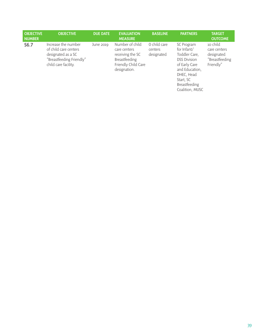| <b>OBJECTIVE</b><br><b>NUMBER</b> | <b>OBJECTIVE</b>                                                                                                       | <b>DUE DATE</b> | <b>EVALUATION</b><br><b>MEASURE</b>                                                                                | <b>BASELINE</b>                       | <b>PARTNERS</b>                                                                                                                                                     | <b>TARGET</b><br><b>OUTCOME</b>                                       |
|-----------------------------------|------------------------------------------------------------------------------------------------------------------------|-----------------|--------------------------------------------------------------------------------------------------------------------|---------------------------------------|---------------------------------------------------------------------------------------------------------------------------------------------------------------------|-----------------------------------------------------------------------|
| S6.7                              | Increase the number<br>of child care centers<br>designated as a SC<br>"Breastfeeding Friendly"<br>child care facility. | June 2019       | Number of child<br>care centers<br>receiving the SC<br><b>Breastfeeding</b><br>Friendly Child Care<br>designation. | 0 child care<br>centers<br>designated | SC Program<br>for Infant/<br>Toddler Care,<br><b>DSS Division</b><br>of Early Care<br>and Education,<br>DHEC, Head<br>Start, SC<br>Breastfeeding<br>Coalition, MUSC | 10 child<br>care centers<br>designated<br>"Breastfeeding<br>Friendly" |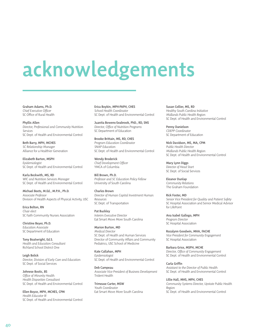# acknowledgements

Graham Adams, Ph.D. *Chief Executive Officer* SC Office of Rural Health

Phyllis Allen *Director, Professional and Community Nutrition Services* SC Dept. of Health and Environmental Control

Beth Barry, MPH, MCHES *SC Relationship Manager* Alliance for a Healthier Generation

Elizabeth Barton, MSPH *Epidemiologist* SC Dept. of Health and Environmental Control

Karla Beckwith, MS, RD *WIC and Nutrition Services Manager* SC Dept. of Health and Environmental Control

Michael Beets, M.Ed., M.P.H., Ph.D. *Associate Professor* Division of Health Aspects of Physical Activity, USC

Erica Belton, RN *Chair elect* SC Faith Community Nurses Association

Christine Beyer, Ph.D. *Education Associate* SC Department of Education

Tony Boatwright, Ed.S. *Health and Education Consultant* Richland School District One

Leigh Bolick *Director, Division of Early Care and Education* SC Dept. of Social Services

Johnese Bostic, BS *Office of Minority Health Health Disparities Consultant* SC Dept. of Health and Environmental Control

Ellen Boyce, MPH, MCHES, CPM *Health Educator III*  SC Dept. of Health and Environmental Control Erica Boykin, MPH-PAPH, CHES *School Health Coordinator*  SC Dept. of Health and Environmental Control

Juanita Bowens-Seabrook, PhD., RD, SNS *Director, Office of Nutrition Programs* SC Department of Education

Brooke Brittain, MS, RD, CHES *Program Education Coordinator SNAP Education* SC Dept. of Health and Environmental Control

Wendy Broderick *Chief Development Officer* YMCA of Columbia

Bill Brown, Ph.D. *Professor and SC Education Policy Fellow* University of South Carolina

Charles Brown *Director of Human Capital Investment Human Resources* SC Dept. of Transportation

Pat Buckley *Interim Executive Director* Eat Smart Move More South Carolina

Marion Burton, MD *Medical Director* SC Dept. of Health and Human Services Director of Community Affairs and Community Pediatrics, USC School of Medicine

Kate Callahan, MPH *Epidemiologist* SC Dept. of Health and Environmental Control

Deb Campeau *Associate Vice President of Business Development*  Trident Health

Trimease Carter, MSW *Youth Coordinator* Eat Smart Move More South Carolina Susan Collier, MS, RD *Healthy South Carolina Initiative Midlands Public Health Region* SC Dept. of Health and Environmental Control

Penny Danielson *CDEPP Coordinator*  SC Department of Education

Nick Davidson, MS, MA, CPM *Public Health Director Midlands Public Health Region* SC Dept. of Health and Environmental Control

Mary Lynn Diggs *Director of Head Start* SC Dept. of Social Services

Eleanor Dunlap *Community Relations* The Graham Foundation

Rick Foster, MD *Senior Vice President for Quality and Patient Safety* SC Hospital Association and Senior Medical Advisor for LifePoint

Ana Isabel Gallego, MPH *Program Director* SC Hospital Association

Rozalynn Goodwin, MHA, FACHE *Vice President for Community Engagement* SC Hospital Association

Barbara Grice, MSPH, MCHE *Director, Office of Community Engagement*  SC Dept. of Health and Environmental Control

Carla Griffin *Assistant to the Director of Public Health* SC Dept. of Health and Environmental Control

Lillie Hall, MHS, MPH, CHES *Community Systems Director, Upstate Public Health Region* SC Dept. of Health and Environmental Control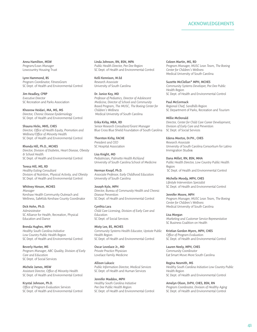### ACKNOWLEDGEMENTS

Anna Hamilton, MSW *Program/Loan Manager* Lowcountry Housing Trust

Lynn Hammond, BS *Program Coordinator, FitnessGram* SC Dept. of Health and Environmental Control

Jim Headley, CPRP *Executive Director* SC Recreation and Parks Association

Khosrow Heidari, MA, MS, MS *Director, Chronic Disease Epidemiology* SC Dept. of Health and Environmental Control

Shauna Hicks, MHS, CHES *Director, Office of Health Equity, Promotion and Wellness/Office of Minority Health* SC Dept. of Health and Environmental Control

Rhonda Hill, Ph.D., MCHES *Director, Division of Diabetes, Heart Disease, Obesity & School Health* SC Dept. of Health and Environmental Control

### Teresa Hill, MS, RD

*Healthy Eating Consultant Division of Nutrition, Physical Activity, and Obesity* SC Dept. of Health and Environmental Control

### Whitney Hinson, MCHES

*Manager*  Kershaw Health Community Outreach and Wellness, SafeKids Kershaw County Coordinator

Dick Hohn, Ph.D. *Administrator*  SC Alliance for Health, Recreation, Physical Education and Dance

Brenda Hughes, MPH *Healthy South Carolina Initiative Low Country Public Health Region*

Beverly Hunter, MS *Program Manager, ABC Quality, Division of Early Care and Education* SC Dept. of Social Services

SC Dept. of Health and Environmental Control

Michele James, MSW *Assistant Director, Office of Minority Health* SC Dept. of Health and Environmental Control

Krystal Johnson, Ph.D. *Office of Program Evaluation Services* SC Dept. of Health and Environmental Control Linda Johnson, RN, BSN, MPA *Public Health Director, Pee Dee Region* SC Dept. of Health and Environmental Control

Kelli Kennison, M.Ed *Research Associate* University of South Carolina

Dr. Janice Key, MD *Professor of Pediatrics, Director of Adolescent Medicine, Director of School and Community Based Program, The MUSC, The Boeing Center for Children's Wellness* Medical University of South Carolina

Erika Kirby, MBA, RD *Senior Research Consultant/Grant Manager* Blue Cross Blue Shield Foundation of South Carolina

Thornton Kirby, FACHE *President and CEO* SC Hospital Association

Lisa Knight, MD *Pediatrician, Palmetto Health Richland* University of South Carolina School of Medicine

Herman Knopf, Ph.D. *Associate Professor, Early Childhood Education* University of South Carolina

### Joseph Kyle, MPH

*Director, Bureau of Community Health and Chronic Disease Prevention* SC Dept. of Health and Environmental Control

Cynthia Lara *Child Care Licensing, Division of Early Care and Education* SC Dept. of Social Services

Misty Lee, BS, MCHES *Community Systems Health Educator, Upstate Public Health Region* SC Dept. of Health and Environmental Control

Oscar Lovelace Jr., MD *Private Practice Physician* Lovelace Family Medicine

Allison Lukacic *Public Information Director, Medical Services* SC Dept. of Health and Human Services

Jennifer Maddox, MPH *Healthy South Carolina Initiative Pee Dee Public Health Region* SC Dept. of Health and Environmental Control Coleen Martin, MS, RD *Program Manager, MUSC Lean Team, The Boeing Center for Children's Wellness*  Medical University of South Carolina

Suzette McClellan\* MPH, MCHES *Community Systems Developer, Pee Dee Public Health Region* SC Dept. of Health and Environmental Control

Paul McCormack *Regional Chief, Sandhills Region* SC Department of Parks, Recreation and Tourism

Millie McDonald *Director, Center for Child Care Career Development, Division of Early Care and Prevention* SC Dept. of Social Services

Edena Meetze, Dr.PH., CHES *Research Associate* University of South Carolina Consortium for Latino Immigration Studies

Dana Millet, RN, BSN, MHA *Public Health Director, Low Country Public Health Region* SC Dept. of Health and Environmental Control

Michelle Moody, MPH, CHES *Lifestyle Intervention Specialist* SC Dept. of Health and Environmental Control

Jennifer Moore, MPH *Program Manager, MUSC Lean Team, The Boeing Center for Children's Wellness*  Medical University of South Carolina

Lisa Morgan *Marketing and Customer Service Representative* SC Business Coalition on Health

Kristian Gordon Myers, MPH, CHES *Office of Program Evaluation* SC Dept. of Health and Environmental Control

Lauren Neely, MPH, CHES *Community Coordinator* Eat Smart Move More South Carolina

Regina Nesmith, MS *Healthy South Carolina Initiative Low Country Public Health Region* SC Dept. of Health and Environmental Control

Amelyn Olson, DrPH, CHES, BSN, RN *Program Coordinator, Division of Healthy Aging* SC Dept. of Health and Environmental Control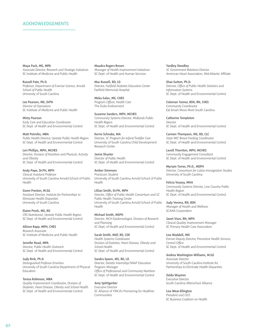### ACKNOWLEDGEMENTS

Maya Pack, MS, MPA *Associate Director, Research and Strategic Initiatives* SC Institute of Medicine and Public Health

Russell Pate, Ph.D. *Professor, Department of Exercise Science, Arnold School of Public Health* University of South Carolina

Lee Pearson, MS, DrPH *Director of Operations* SC Institute of Medicine and Public Health

Misty Pearson *Early Care and Education Coordinator* SC Dept. of Health and Environmental Control

Matt Petrofes, MBA *Public Health Director, Upstate Public Health Region* SC Dept. of Health and Environmental Control

Lori Phillips, MPH, MCHES *Director, Division of Nutrition and Physical, Activity and Obesity*  SC Dept. of Health and Environmental Control

Andy Pope, Dr.PH, MPH *Clinical Assistant Professor*  University of South Carolina Arnold School of Public Health

Gwen Preston, M.Ed. *Assistant Director, Institute for Partnerships to Eliminate Health Disparities* University of South Carolina

Elaine Prock, MS, RD *CRS Nutritionist, Upstate Public Health Region* SC Dept. of Health and Environmental Control

### Allison Rapp, MPH, CHES *Research Associate*

SC Institute of Medicine and Public Health

Jennifer Read, MPA *Director, Public Health Outreach*  SC Dept. of Health and Environmental Control

Judy Rink, Ph.D. *Distinguished Professor Emeritus* University of South Carolina Department of Physical Education

Teresa Robinson, MBA *Quality Improvement Coordinator, Division of Diabetes, Heart Disease, Obesity and School Health* SC Dept. of Health and Environmental Control

Maudra Rogers Brown *Manager of Health Improvement Initiatives* SC Dept. of Health and Human Services

Mac Russell, RD, LD *Director, Fairfield Diabetes Education Center* Fairfield Memorial Hospital

Meka Sales, MS, CHES *Program Officer, Health Care* The Duke Endowment

Suzanne Sanders, MPH, MCHES *Community Systems Director, Midlands Public Health Region* SC Dept. of Health and Environmental Control

Kerrie Schnake, MA *Director, SC Program for Infant/Toddler Care* University of South Carolina Child Development Research Center

Jamie Shuster *Director of Public Health* SC Dept. of Health and Environmental Control

Amber Simmons *Practicum Student*  University of South Carolina Arnold School of Public Health

Lillian Smith, Dr.PH, MPH *Director, Office of Public Health Consortium and SC Public Health Training Center* University of South Carolina Arnold School of Public Health

Michael Smith, MSPH *Director, MCH Epidemiologist, Division of Research and Planning* SC Dept. of Health and Environmental Control

Sarah Smith, MAT, RD, CDE *Health Systems Coordinator Division of Diabetes, Heart Disease, Obesity and School Health* SC Dept. of Health and Environmental Control

Sandra Spann, MS, RD, LD *Director, Dietetic Internship/SNAP Education Program Manager Office of Professional and Community Nutrition* SC Dept. of Health and Environmental Control

Amy Splittgerber *Executive Director* SC Alliance of YMCA's Pioneering for Healthier Communities

Yardley Steedley *SC Government Relations Director* American Heart Association, Mid-Atlantic Affiliate

Shae Sutton, Ph.D. *Director, Office of Public Health Statistics and Information Systems* SC Dept. of Health and Environmental Control

Coleman Tanner, BSN, RN, CHES *Community Coordinator*  Eat Smart Move More South Carolina

Catherine Templeton *Director* SC Dept. of Health and Environmental Control

Carmen Thompson, MS, RD, CLC *State WIC Breast Feeding Coordinator* SC Dept. of Health and Environmental Control

Lavell Thornton, MPH, MCHES *Community Engagement Consultant* SC Dept. of Health and Environmental Control

Myriam Torres, Ph.D., MSPH *Director, Consortium for Latino Immigration Studies*  University of South Carolina

Felicia Veasey, MHA *Community Systems Director, Low Country Public Health Region* SC Dept. of Health and Environmental Control

Judy Verona, RN, BSN *Manager of Health and Wellness*  SCANA Corporation

Janet Viars, RN, MPH *Clinical Quality Improvement Manager* SC Primary Health Care Association

Lisa Waddell, MD *Former Deputy Director, Preventive Health Services, Central Office* SC Dept. of Health and Environmental Control

Andrea Washington Williams, M.Ed *Associate Director* University of South Carolina Institute for Partnerships to Eliminate Health Disparities

Zelda Waymer *Executive Director* South Carolina Afterschool Alliance

Lisa Wear-Ellington *President and CEO* SC Business Coalition on Health